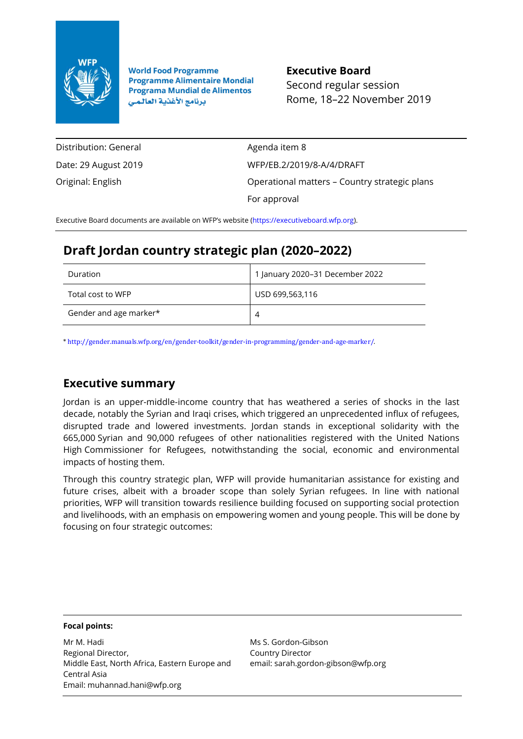

**World Food Programme Programme Alimentaire Mondial Programa Mundial de Alimentos** برنامج الأغذية العالمي

**Executive Board** Second regular session Rome, 18–22 November 2019

Distribution: General Date: 29 August 2019 Original: English

Agenda item 8 WFP/EB.2/2019/8-A/4/DRAFT Operational matters – Country strategic plans For approval

Executive Board documents are available on WFP's website [\(https://executiveboard.wfp.org\)](https://executiveboard.wfp.org/).

# **Draft Jordan country strategic plan (2020–2022)**

| Duration               | 1 January 2020–31 December 2022 |
|------------------------|---------------------------------|
| Total cost to WFP      | USD 699,563,116                 |
| Gender and age marker* | 4                               |

\* http://gender.manuals.wfp.org/en/gender-toolkit/gender-in-programming/gender-and-age-marker/.

## **Executive summary**

Jordan is an upper-middle-income country that has weathered a series of shocks in the last decade, notably the Syrian and Iraqi crises, which triggered an unprecedented influx of refugees, disrupted trade and lowered investments. Jordan stands in exceptional solidarity with the 665,000 Syrian and 90,000 refugees of other nationalities registered with the United Nations High Commissioner for Refugees, notwithstanding the social, economic and environmental impacts of hosting them.

Through this country strategic plan, WFP will provide humanitarian assistance for existing and future crises, albeit with a broader scope than solely Syrian refugees. In line with national priorities, WFP will transition towards resilience building focused on supporting social protection and livelihoods, with an emphasis on empowering women and young people. This will be done by focusing on four strategic outcomes:

### **Focal points:**

Mr M. Hadi Regional Director, Middle East, North Africa, Eastern Europe and Central Asia Email: muhannad.hani@wfp.org

Ms S. Gordon-Gibson Country Director email: sarah.gordon-gibson@wfp.org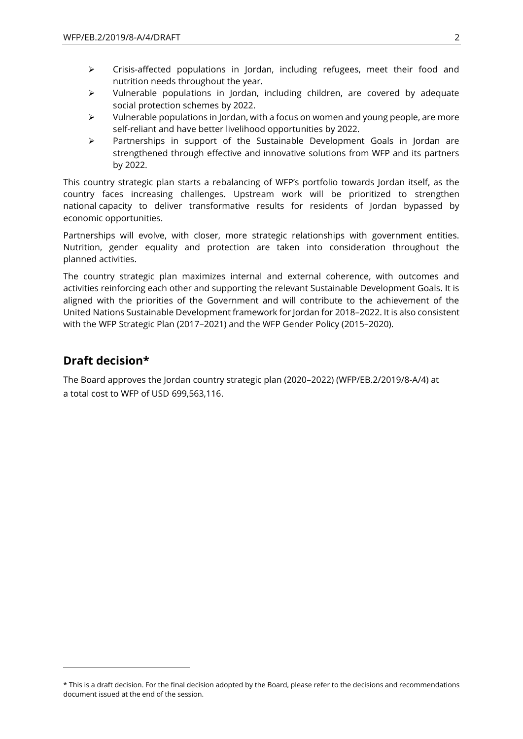- ➢ Crisis-affected populations in Jordan, including refugees, meet their food and nutrition needs throughout the year.
- $\triangleright$  Vulnerable populations in Jordan, including children, are covered by adequate social protection schemes by 2022.
- $\triangleright$  Vulnerable populations in Jordan, with a focus on women and young people, are more self-reliant and have better livelihood opportunities by 2022.
- ➢ Partnerships in support of the Sustainable Development Goals in Jordan are strengthened through effective and innovative solutions from WFP and its partners by 2022.

This country strategic plan starts a rebalancing of WFP's portfolio towards Jordan itself, as the country faces increasing challenges. Upstream work will be prioritized to strengthen national capacity to deliver transformative results for residents of Jordan bypassed by economic opportunities.

Partnerships will evolve, with closer, more strategic relationships with government entities. Nutrition, gender equality and protection are taken into consideration throughout the planned activities.

The country strategic plan maximizes internal and external coherence, with outcomes and activities reinforcing each other and supporting the relevant Sustainable Development Goals. It is aligned with the priorities of the Government and will contribute to the achievement of the United Nations Sustainable Development framework for Jordan for 2018–2022. It is also consistent with the WFP Strategic Plan (2017–2021) and the WFP Gender Policy (2015–2020).

## **Draft decision\***

 $\overline{a}$ 

The Board approves the Jordan country strategic plan (2020–2022) (WFP/EB.2/2019/8-A/4) at a total cost to WFP of USD 699,563,116.

<sup>\*</sup> This is a draft decision. For the final decision adopted by the Board, please refer to the decisions and recommendations document issued at the end of the session.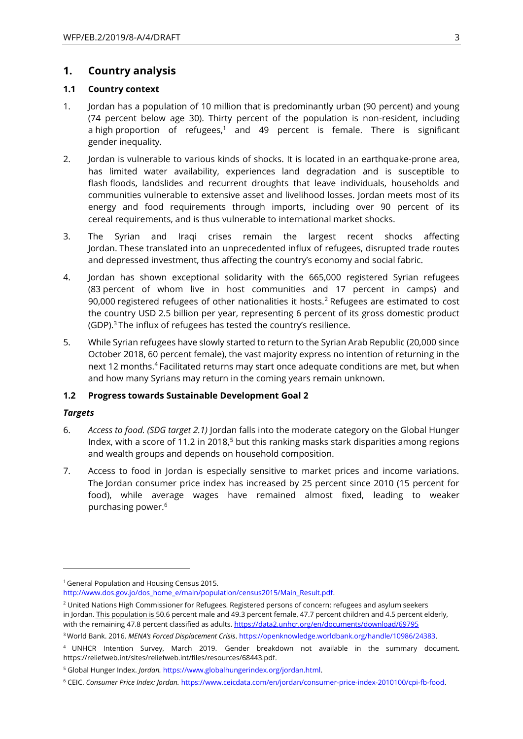## **1. Country analysis**

### **1.1 Country context**

- 1. Jordan has a population of 10 million that is predominantly urban (90 percent) and young (74 percent below age 30). Thirty percent of the population is non-resident, including a high proportion of refugees, $1$  and 49 percent is female. There is significant gender inequality.
- 2. Jordan is vulnerable to various kinds of shocks. It is located in an earthquake-prone area, has limited water availability, experiences land degradation and is susceptible to flash floods, landslides and recurrent droughts that leave individuals, households and communities vulnerable to extensive asset and livelihood losses. Jordan meets most of its energy and food requirements through imports, including over 90 percent of its cereal requirements, and is thus vulnerable to international market shocks.
- 3. The Syrian and Iraqi crises remain the largest recent shocks affecting Jordan. These translated into an unprecedented influx of refugees, disrupted trade routes and depressed investment, thus affecting the country's economy and social fabric.
- 4. Jordan has shown exceptional solidarity with the 665,000 registered Syrian refugees (83 percent of whom live in host communities and 17 percent in camps) and 90,000 registered refugees of other nationalities it hosts.<sup>2</sup> Refugees are estimated to cost the country USD 2.5 billion per year, representing 6 percent of its gross domestic product (GDP).<sup>3</sup> The influx of refugees has tested the country's resilience.
- 5. While Syrian refugees have slowly started to return to the Syrian Arab Republic (20,000 since October 2018, 60 percent female), the vast majority express no intention of returning in the next 12 months.<sup>4</sup> Facilitated returns may start once adequate conditions are met, but when and how many Syrians may return in the coming years remain unknown.

#### **1.2 Progress towards Sustainable Development Goal 2**

#### *Targets*

- 6. *Access to food. (SDG target 2.1)* Jordan falls into the moderate category on the Global Hunger Index, with a score of 11.2 in 2018,<sup>5</sup> but this ranking masks stark disparities among regions and wealth groups and depends on household composition.
- 7. Access to food in Jordan is especially sensitive to market prices and income variations. The Jordan consumer price index has increased by 25 percent since 2010 (15 percent for food), while average wages have remained almost fixed, leading to weaker purchasing power.<sup>6</sup>

<sup>1</sup> General Population and Housing Census 2015.

[http://www.dos.gov.jo/dos\\_home\\_e/main/population/census2015/Main\\_Result.pdf.](http://www.dos.gov.jo/dos_home_e/main/population/census2015/Main_Result.pdf)

<sup>&</sup>lt;sup>2</sup> United Nations High Commissioner for Refugees. Registered persons of concern: refugees and asylum seekers in Jordan. This population is 50.6 percent male and 49.3 percent female, 47.7 percent children and 4.5 percent elderly, with the remaining 47.8 percent classified as adults. <https://data2.unhcr.org/en/documents/download/69795>

<sup>3</sup> World Bank. 2016. *MENA's Forced Displacement Crisis*[. https://openknowledge.worldbank.org/handle/10986/24383](https://openknowledge.worldbank.org/handle/10986/24383).

<sup>4</sup> UNHCR Intention Survey, March 2019. Gender breakdown not available in the summary document. [https://reliefweb.int/sites/reliefweb.int/files/resources/68443.pdf.](https://reliefweb.int/sites/reliefweb.int/files/resources/68443.pdf)

<sup>5</sup> Global Hunger Index. *Jordan.* [https://www.globalhungerindex.org/jordan.html.](https://www.globalhungerindex.org/jordan.html)

<sup>6</sup> CEIC. *Consumer Price Index: Jordan.* [https://www.ceicdata.com/en/jordan/consumer-price-index-2010100/cpi-fb-food.](https://www.ceicdata.com/en/jordan/consumer-price-index-2010100/cpi-fb-food)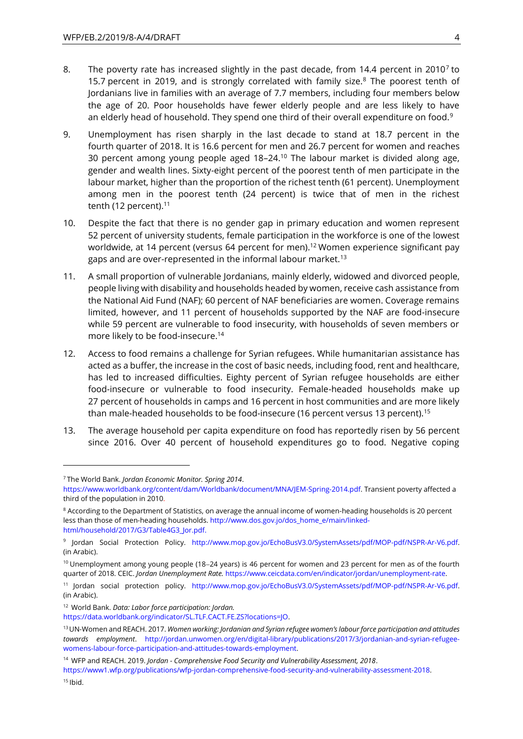- 8. The poverty rate has increased slightly in the past decade, from 14.4 percent in 2010<sup>7</sup> to 15.7 percent in 2019, and is strongly correlated with family size. $8$  The poorest tenth of Jordanians live in families with an average of 7.7 members, including four members below the age of 20. Poor households have fewer elderly people and are less likely to have an elderly head of household. They spend one third of their overall expenditure on food.<sup>9</sup>
- 9. Unemployment has risen sharply in the last decade to stand at 18.7 percent in the fourth quarter of 2018. It is 16.6 percent for men and 26.7 percent for women and reaches 30 percent among young people aged 18–24.<sup>10</sup> The labour market is divided along age, gender and wealth lines. Sixty-eight percent of the poorest tenth of men participate in the labour market, higher than the proportion of the richest tenth (61 percent). Unemployment among men in the poorest tenth (24 percent) is twice that of men in the richest tenth (12 percent). $11$
- 10. Despite the fact that there is no gender gap in primary education and women represent 52 percent of university students, female participation in the workforce is one of the lowest worldwide, at 14 percent (versus 64 percent for men).<sup>12</sup> Women experience significant pay gaps and are over-represented in the informal labour market.<sup>13</sup>
- 11. A small proportion of vulnerable Jordanians, mainly elderly, widowed and divorced people, people living with disability and households headed by women, receive cash assistance from the National Aid Fund (NAF); 60 percent of NAF beneficiaries are women. Coverage remains limited, however, and 11 percent of households supported by the NAF are food-insecure while 59 percent are vulnerable to food insecurity, with households of seven members or more likely to be food-insecure.<sup>14</sup>
- 12. Access to food remains a challenge for Syrian refugees. While humanitarian assistance has acted as a buffer, the increase in the cost of basic needs, including food, rent and healthcare, has led to increased difficulties. Eighty percent of Syrian refugee households are either food-insecure or vulnerable to food insecurity. Female-headed households make up 27 percent of households in camps and 16 percent in host communities and are more likely than male-headed households to be food-insecure (16 percent versus 13 percent).<sup>15</sup>
- 13. The average household per capita expenditure on food has reportedly risen by 56 percent since 2016. Over 40 percent of household expenditures go to food. Negative coping

<sup>7</sup> The World Bank. *Jordan Economic Monitor. Spring 2014*.

[https://www.worldbank.org/content/dam/Worldbank/document/MNA/JEM-Spring-2014.pdf.](https://www.worldbank.org/content/dam/Worldbank/document/MNA/JEM-Spring-2014.pdf) Transient poverty affected a third of the population in 2010.

<sup>&</sup>lt;sup>8</sup> According to the Department of Statistics, on average the annual income of women-heading households is 20 percent less than those of men-heading households[. http://www.dos.gov.jo/dos\\_home\\_e/main/linked](http://www.dos.gov.jo/dos_home_e/main/linked-html/household/2017/G3/Table4G3_Jor.pdf)[html/household/2017/G3/Table4G3\\_Jor.pdf.](http://www.dos.gov.jo/dos_home_e/main/linked-html/household/2017/G3/Table4G3_Jor.pdf)

<sup>9</sup> Jordan Social Protection Policy. [http://www.mop.gov.jo/EchoBusV3.0/SystemAssets/pdf/MOP-pdf/NSPR-Ar-V6.pdf.](https://eur03.safelinks.protection.outlook.com/?url=http%3A%2F%2Fwww.mop.gov.jo%2FEchoBusV3.0%2FSystemAssets%2Fpdf%2FMOP-pdf%2FNSPR-Ar-V6.pdf&data=02%7C01%7Cclaire.conan%40wfp.org%7C962cc147a0894bee71b908d6efd45855%7C462ad9aed7d94206b87471b1e079776f%7C0%7C0%7C636960092618517243&sdata=PCneGviYsr0%2BU1sCtZs3Ye4fwOQRmh%2Fp99WejZZHLxA%3D&reserved=0) (in Arabic).

<sup>10</sup> Unemployment among young people (18−24 years) is 46 percent for women and 23 percent for men as of the fourth quarter of 2018. CEIC. *Jordan Unemployment Rate.* [https://www.ceicdata.com/en/indicator/jordan/unemployment-rate.](https://www.ceicdata.com/en/indicator/jordan/unemployment-rate)

<sup>11</sup> Jordan social protection policy. [http://www.mop.gov.jo/EchoBusV3.0/SystemAssets/pdf/MOP-pdf/NSPR-Ar-V6.pdf.](https://eur03.safelinks.protection.outlook.com/?url=http%3A%2F%2Fwww.mop.gov.jo%2FEchoBusV3.0%2FSystemAssets%2Fpdf%2FMOP-pdf%2FNSPR-Ar-V6.pdf&data=02%7C01%7Cclaire.conan%40wfp.org%7C962cc147a0894bee71b908d6efd45855%7C462ad9aed7d94206b87471b1e079776f%7C0%7C0%7C636960092618517243&sdata=PCneGviYsr0%2BU1sCtZs3Ye4fwOQRmh%2Fp99WejZZHLxA%3D&reserved=0) (in Arabic).

<sup>12</sup> World Bank. *Data: Labor force participation: Jordan.* 

[https://data.worldbank.org/indicator/SL.TLF.CACT.FE.ZS?locations=JO.](https://data.worldbank.org/indicator/SL.TLF.CACT.FE.ZS?locations=JO)

<sup>&</sup>lt;sup>13</sup> UN-Women and REACH. 2017. *Women working: Jordanian and Syrian refugee women's labour force participation and attitudes towards employment*. [http://jordan.unwomen.org/en/digital-library/publications/2017/3/jordanian-and-syrian-refugee](http://jordan.unwomen.org/en/digital-library/publications/2017/3/jordanian-and-syrian-refugee-womens-labour-force-participation-and-attitudes-towards-employment)[womens-labour-force-participation-and-attitudes-towards-employment.](http://jordan.unwomen.org/en/digital-library/publications/2017/3/jordanian-and-syrian-refugee-womens-labour-force-participation-and-attitudes-towards-employment)

<sup>14</sup> WFP and REACH. 2019. *Jordan - Comprehensive Food Security and Vulnerability Assessment, 2018*.

[https://www1.wfp.org/publications/wfp-jordan-comprehensive-food-security-and-vulnerability-assessment-2018.](https://www1.wfp.org/publications/wfp-jordan-comprehensive-food-security-and-vulnerability-assessment-2018)  $15$  Ibid.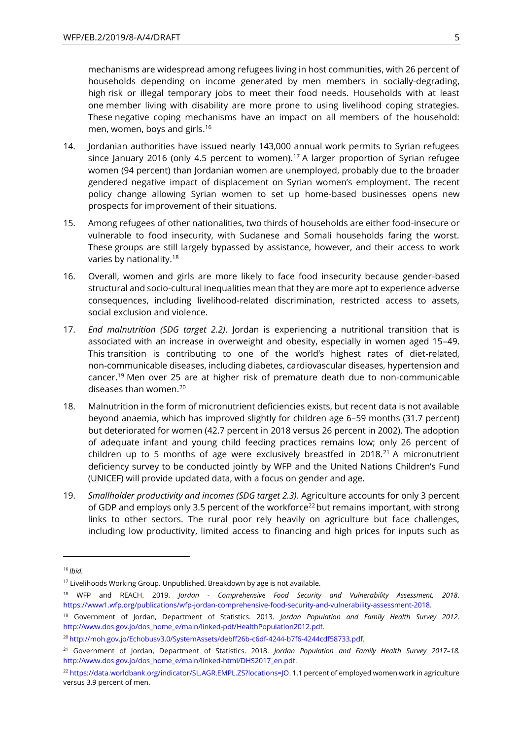mechanisms are widespread among refugees living in host communities, with 26 percent of households depending on income generated by men members in socially-degrading, high risk or illegal temporary jobs to meet their food needs. Households with at least one member living with disability are more prone to using livelihood coping strategies. These negative coping mechanisms have an impact on all members of the household: men, women, boys and girls.<sup>16</sup>

- 14. Jordanian authorities have issued nearly 143,000 annual work permits to Syrian refugees since January 2016 (only 4.5 percent to women).<sup>17</sup> A larger proportion of Syrian refugee women (94 percent) than Jordanian women are unemployed, probably due to the broader gendered negative impact of displacement on Syrian women's employment. The recent policy change allowing Syrian women to set up home-based businesses opens new prospects for improvement of their situations.
- 15. Among refugees of other nationalities, two thirds of households are either food-insecure or vulnerable to food insecurity, with Sudanese and Somali households faring the worst. These groups are still largely bypassed by assistance, however, and their access to work varies by nationality.<sup>18</sup>
- 16. Overall, women and girls are more likely to face food insecurity because gender-based structural and socio-cultural inequalities mean that they are more apt to experience adverse consequences, including livelihood-related discrimination, restricted access to assets, social exclusion and violence.
- 17. *End malnutrition (SDG target 2.2)*. Jordan is experiencing a nutritional transition that is associated with an increase in overweight and obesity, especially in women aged 15–49. This transition is contributing to one of the world's highest rates of diet-related, non-communicable diseases, including diabetes, cardiovascular diseases, hypertension and cancer.<sup>19</sup> Men over 25 are at higher risk of premature death due to non-communicable diseases than women.<sup>20</sup>
- 18. Malnutrition in the form of micronutrient deficiencies exists, but recent data is not available beyond anaemia, which has improved slightly for children age 6–59 months (31.7 percent) but deteriorated for women (42.7 percent in 2018 versus 26 percent in 2002). The adoption of adequate infant and young child feeding practices remains low; only 26 percent of children up to 5 months of age were exclusively breastfed in 2018. $^{21}$  A micronutrient deficiency survey to be conducted jointly by WFP and the United Nations Children's Fund (UNICEF) will provide updated data, with a focus on gender and age.
- 19. *Smallholder productivity and incomes (SDG target 2.3)*. Agriculture accounts for only 3 percent of GDP and employs only 3.5 percent of the workforce<sup>22</sup> but remains important, with strong links to other sectors. The rural poor rely heavily on agriculture but face challenges, including low productivity, limited access to financing and high prices for inputs such as

<sup>16</sup> *Ibid.*

<sup>&</sup>lt;sup>17</sup> Livelihoods Working Group. Unpublished. Breakdown by age is not available.

<sup>18</sup> WFP and REACH. 2019. *Jordan - Comprehensive Food Security and Vulnerability Assessment, 2018*. [https://www1.wfp.org/publications/wfp-jordan-comprehensive-food-security-and-vulnerability-assessment-2018.](https://www1.wfp.org/publications/wfp-jordan-comprehensive-food-security-and-vulnerability-assessment-2018)

<sup>19</sup> Government of Jordan, Department of Statistics. 2013. *Jordan Population and Family Health Survey 2012*. [http://www.dos.gov.jo/dos\\_home\\_e/main/linked-pdf/HealthPopulation2012.pdf.](http://www.dos.gov.jo/dos_home_e/main/linked-pdf/HealthPopulation2012.pdf)

<sup>&</sup>lt;sup>20</sup> [http://moh.gov.jo/Echobusv3.0/SystemAssets/debff26b-c6df-4244-b7f6-4244cdf58733.pdf.](http://moh.gov.jo/Echobusv3.0/SystemAssets/debff26b-c6df-4244-b7f6-4244cdf58733.pdf)

<sup>21</sup> Government of Jordan, Department of Statistics. 2018. *Jordan Population and Family Health Survey 2017–18.* [http://www.dos.gov.jo/dos\\_home\\_e/main/linked-html/DHS2017\\_en.pdf.](http://www.dos.gov.jo/dos_home_e/main/linked-html/DHS2017_en.pdf)

<sup>22</sup> [https://data.worldbank.org/indicator/SL.AGR.EMPL.ZS?locations=JO.](https://data.worldbank.org/indicator/SL.AGR.EMPL.ZS?locations=JO) 1.1 percent of employed women work in agriculture versus 3.9 percent of men.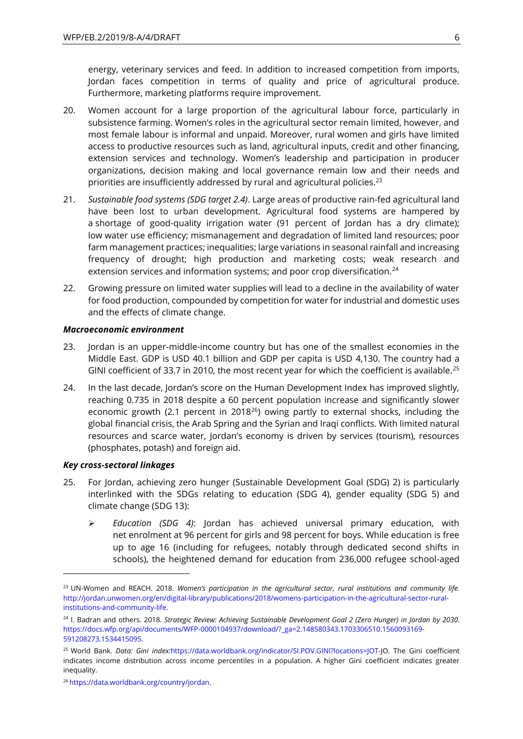energy, veterinary services and feed. In addition to increased competition from imports, Jordan faces competition in terms of quality and price of agricultural produce. Furthermore, marketing platforms require improvement.

- 20. Women account for a large proportion of the agricultural labour force, particularly in subsistence farming. Women's roles in the agricultural sector remain limited, however, and most female labour is informal and unpaid. Moreover, rural women and girls have limited access to productive resources such as land, agricultural inputs, credit and other financing, extension services and technology. Women's leadership and participation in producer organizations, decision making and local governance remain low and their needs and priorities are insufficiently addressed by rural and agricultural policies.<sup>23</sup>
- 21. *Sustainable food systems (SDG target 2.4)*. Large areas of productive rain-fed agricultural land have been lost to urban development. Agricultural food systems are hampered by a shortage of good-quality irrigation water (91 percent of Jordan has a dry climate); low water use efficiency; mismanagement and degradation of limited land resources; poor farm management practices; inequalities; large variations in seasonal rainfall and increasing frequency of drought; high production and marketing costs; weak research and extension services and information systems; and poor crop diversification.<sup>24</sup>
- 22. Growing pressure on limited water supplies will lead to a decline in the availability of water for food production, compounded by competition for water for industrial and domestic uses and the effects of climate change.

#### *Macroeconomic environment*

- 23. Jordan is an upper-middle-income country but has one of the smallest economies in the Middle East. GDP is USD 40.1 billion and GDP per capita is USD 4,130. The country had a GINI coefficient of 33.7 in 2010, the most recent year for which the coefficient is available.<sup>25</sup>
- 24. In the last decade, Jordan's score on the Human Development Index has improved slightly, reaching 0.735 in 2018 despite a 60 percent population increase and significantly slower economic growth (2.1 percent in 2018<sup>26</sup>) owing partly to external shocks, including the global financial crisis, the Arab Spring and the Syrian and Iraqi conflicts. With limited natural resources and scarce water, Jordan's economy is driven by services (tourism), resources (phosphates, potash) and foreign aid.

### *Key cross-sectoral linkages*

- 25. For Jordan, achieving zero hunger (Sustainable Development Goal (SDG) 2) is particularly interlinked with the SDGs relating to education (SDG 4), gender equality (SDG 5) and climate change (SDG 13):
	- ➢ *Education (SDG 4)*: Jordan has achieved universal primary education, with net enrolment at 96 percent for girls and 98 percent for boys. While education is free up to age 16 (including for refugees, notably through dedicated second shifts in schools), the heightened demand for education from 236,000 refugee school-aged

<sup>23</sup> UN-Women and REACH. 2018. *Women's participation in the agricultural sector, rural institutions and community life.* [http://jordan.unwomen.org/en/digital-library/publications/2018/womens-participation-in-the-agricultural-sector-rural](http://jordan.unwomen.org/en/digital-library/publications/2018/womens-participation-in-the-agricultural-sector-rural-institutions-and-community-life)[institutions-and-community-life.](http://jordan.unwomen.org/en/digital-library/publications/2018/womens-participation-in-the-agricultural-sector-rural-institutions-and-community-life)

<sup>24</sup> I. Badran and others. 2018. *Strategic Review: Achieving Sustainable Development Goal 2 (Zero Hunger) in Jordan by 2030*. [https://docs.wfp.org/api/documents/WFP-0000104937/download/?\\_ga=2.148580343.1703306510.1560093169-](https://docs.wfp.org/api/documents/WFP-0000104937/download/?_ga=2.148580343.1703306510.1560093169-591208273.1534415095) [591208273.1534415095.](https://docs.wfp.org/api/documents/WFP-0000104937/download/?_ga=2.148580343.1703306510.1560093169-591208273.1534415095)

<sup>25</sup> World Bank. *Data: Gini index:*[https://data.worldbank.org/indicator/SI.POV.GINI?locations=JOT-](https://data.worldbank.org/indicator/SI.POV.GINI?locations=JOT)JO. The Gini coefficient indicates income distribution across income percentiles in a population. A higher Gini coefficient indicates greater inequality.

<sup>26</sup> [https://data.worldbank.org/country/jordan.](https://data.worldbank.org/country/jordan)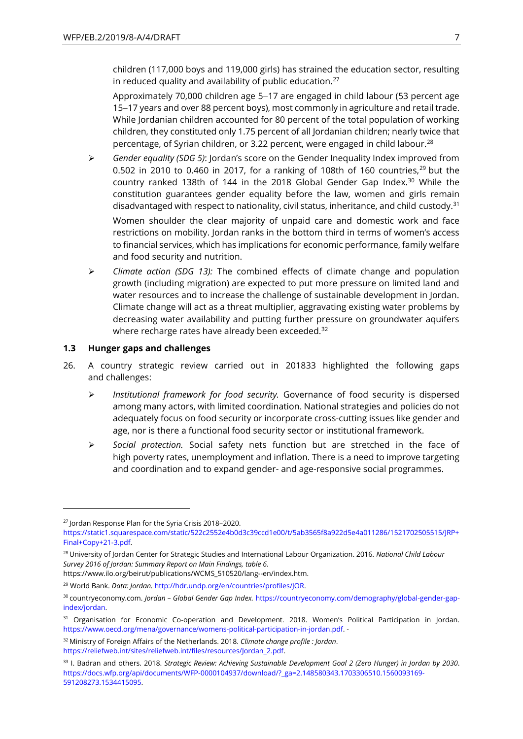children (117,000 boys and 119,000 girls) has strained the education sector, resulting in reduced quality and availability of public education. $27$ 

Approximately 70,000 children age 5−17 are engaged in child labour (53 percent age 15−17 years and over 88 percent boys), most commonly in agriculture and retail trade. While Jordanian children accounted for 80 percent of the total population of working children, they constituted only 1.75 percent of all Jordanian children; nearly twice that percentage, of Syrian children, or 3.22 percent, were engaged in child labour.<sup>28</sup>

➢ *Gender equality (SDG 5)*: Jordan's score on the Gender Inequality Index improved from 0.502 in 2010 to 0.460 in 2017, for a ranking of 108th of 160 countries, $29$  but the country ranked 138th of 144 in the 2018 Global Gender Gap Index.<sup>30</sup> While the constitution guarantees gender equality before the law, women and girls remain disadvantaged with respect to nationality, civil status, inheritance, and child custody.<sup>31</sup> Women shoulder the clear majority of unpaid care and domestic work and face

restrictions on mobility. Jordan ranks in the bottom third in terms of women's access to financial services, which has implications for economic performance, family welfare and food security and nutrition.

➢ *Climate action (SDG 13):* The combined effects of climate change and population growth (including migration) are expected to put more pressure on limited land and water resources and to increase the challenge of sustainable development in Jordan. Climate change will act as a threat multiplier, aggravating existing water problems by decreasing water availability and putting further pressure on groundwater aquifers where recharge rates have already been exceeded.<sup>32</sup>

### **1.3 Hunger gaps and challenges**

- 26. A country strategic review carried out in 201833 highlighted the following gaps and challenges:
	- ➢ *Institutional framework for food security.* Governance of food security is dispersed among many actors, with limited coordination. National strategies and policies do not adequately focus on food security or incorporate cross-cutting issues like gender and age, nor is there a functional food security sector or institutional framework.
	- ➢ *Social protection.* Social safety nets function but are stretched in the face of high poverty rates, unemployment and inflation. There is a need to improve targeting and coordination and to expand gender- and age-responsive social programmes.

<sup>27</sup> Jordan Response Plan for the Syria Crisis 2018–2020.

[https://static1.squarespace.com/static/522c2552e4b0d3c39ccd1e00/t/5ab3565f8a922d5e4a011286/1521702505515/JRP+](https://static1.squarespace.com/static/522c2552e4b0d3c39ccd1e00/t/5ab3565f8a922d5e4a011286/1521702505515/JRP+Final+Copy+21-3.pdf) [Final+Copy+21-3.pdf.](https://static1.squarespace.com/static/522c2552e4b0d3c39ccd1e00/t/5ab3565f8a922d5e4a011286/1521702505515/JRP+Final+Copy+21-3.pdf)

<sup>28</sup> University of Jordan Center for Strategic Studies and International Labour Organization. 2016. *National Child Labour Survey 2016 of Jordan: Summary Report on Main Findings, table 6*.

[https://www.ilo.org/beirut/publications/WCMS\\_510520/lang--en/index.htm.](https://www.ilo.org/beirut/publications/WCMS_510520/lang--en/index.htm)

<sup>29</sup> World Bank. *Data: Jordan.* [http://hdr.undp.org/en/countries/profiles/JOR.](http://hdr.undp.org/en/countries/profiles/JOR)

<sup>30</sup> countryeconomy.com. *Jordan – Global Gender Gap Index.* [https://countryeconomy.com/demography/global-gender-gap](https://countryeconomy.com/demography/global-gender-gap-index/jordan)[index/jordan.](https://countryeconomy.com/demography/global-gender-gap-index/jordan)

<sup>&</sup>lt;sup>31</sup> Organisation for Economic Co-operation and Development. 2018. Women's Political Participation in Jordan. [https://www.oecd.org/mena/governance/womens-political-participation-in-jordan.pdf.](https://www.oecd.org/mena/governance/womens-political-participation-in-jordan.pdf) -

<sup>32</sup> Ministry of Foreign Affairs of the Netherlands. 2018. *Climate change profile : Jordan*. [https://reliefweb.int/sites/reliefweb.int/files/resources/Jordan\\_2.pdf.](https://reliefweb.int/sites/reliefweb.int/files/resources/Jordan_2.pdf)

<sup>33</sup> I. Badran and others. 2018. *Strategic Review: Achieving Sustainable Development Goal 2 (Zero Hunger) in Jordan by 2030*. [https://docs.wfp.org/api/documents/WFP-0000104937/download/?\\_ga=2.148580343.1703306510.1560093169-](https://docs.wfp.org/api/documents/WFP-0000104937/download/?_ga=2.148580343.1703306510.1560093169-591208273.1534415095) [591208273.1534415095.](https://docs.wfp.org/api/documents/WFP-0000104937/download/?_ga=2.148580343.1703306510.1560093169-591208273.1534415095)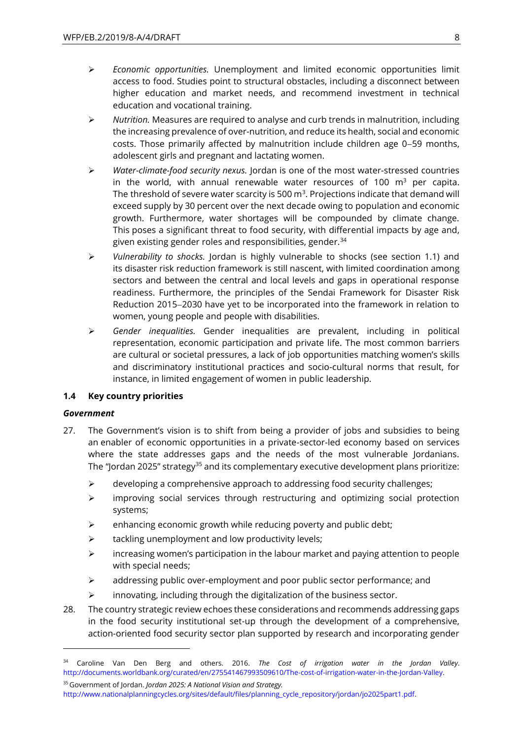- ➢ *Economic opportunities.* Unemployment and limited economic opportunities limit access to food. Studies point to structural obstacles, including a disconnect between higher education and market needs, and recommend investment in technical education and vocational training.
- ➢ *Nutrition.* Measures are required to analyse and curb trends in malnutrition, including the increasing prevalence of over-nutrition, and reduce its health, social and economic costs. Those primarily affected by malnutrition include children age 0−59 months, adolescent girls and pregnant and lactating women.
- ➢ *Water-climate-food security nexus.* Jordan is one of the most water-stressed countries in the world, with annual renewable water resources of 100  $m<sup>3</sup>$  per capita. The threshold of severe water scarcity is 500  $\text{m}^3$ . Projections indicate that demand will exceed supply by 30 percent over the next decade owing to population and economic growth. Furthermore, water shortages will be compounded by climate change. This poses a significant threat to food security, with differential impacts by age and, given existing gender roles and responsibilities, gender.<sup>34</sup>
- ➢ *Vulnerability to shocks.* Jordan is highly vulnerable to shocks (see section 1.1) and its disaster risk reduction framework is still nascent, with limited coordination among sectors and between the central and local levels and gaps in operational response readiness. Furthermore, the principles of the Sendai Framework for Disaster Risk Reduction 2015−2030 have yet to be incorporated into the framework in relation to women, young people and people with disabilities.
- ➢ *Gender inequalities.* Gender inequalities are prevalent, including in political representation, economic participation and private life. The most common barriers are cultural or societal pressures, a lack of job opportunities matching women's skills and discriminatory institutional practices and socio-cultural norms that result, for instance, in limited engagement of women in public leadership.

### **1.4 Key country priorities**

#### *Government*

- 27. The Government's vision is to shift from being a provider of jobs and subsidies to being an enabler of economic opportunities in a private-sector-led economy based on services where the state addresses gaps and the needs of the most vulnerable Jordanians. The "Jordan 2025" strategy<sup>35</sup> and its complementary executive development plans prioritize:
	- ➢ developing a comprehensive approach to addressing food security challenges;
	- $\triangleright$  improving social services through restructuring and optimizing social protection systems;
	- $\triangleright$  enhancing economic growth while reducing poverty and public debt;
	- ➢ tackling unemployment and low productivity levels;
	- $\triangleright$  increasing women's participation in the labour market and paying attention to people with special needs;
	- $\triangleright$  addressing public over-employment and poor public sector performance; and
	- ➢ innovating, including through the digitalization of the business sector.
- 28. The country strategic review echoes these considerations and recommends addressing gaps in the food security institutional set-up through the development of a comprehensive, action-oriented food security sector plan supported by research and incorporating gender

<sup>34</sup> Caroline Van Den Berg and others. 2016. *The Cost of irrigation water in the Jordan Valley*. [http://documents.worldbank.org/curated/en/275541467993509610/The-cost-of-irrigation-water-in-the-Jordan-Valley.](http://documents.worldbank.org/curated/en/275541467993509610/The-cost-of-irrigation-water-in-the-Jordan-Valley)

<sup>35</sup> Government of Jordan. *Jordan 2025: A National Vision and Strategy.*  [http://www.nationalplanningcycles.org/sites/default/files/planning\\_cycle\\_repository/jordan/jo2025part1.pdf.](http://www.nationalplanningcycles.org/sites/default/files/planning_cycle_repository/jordan/jo2025part1.pdf)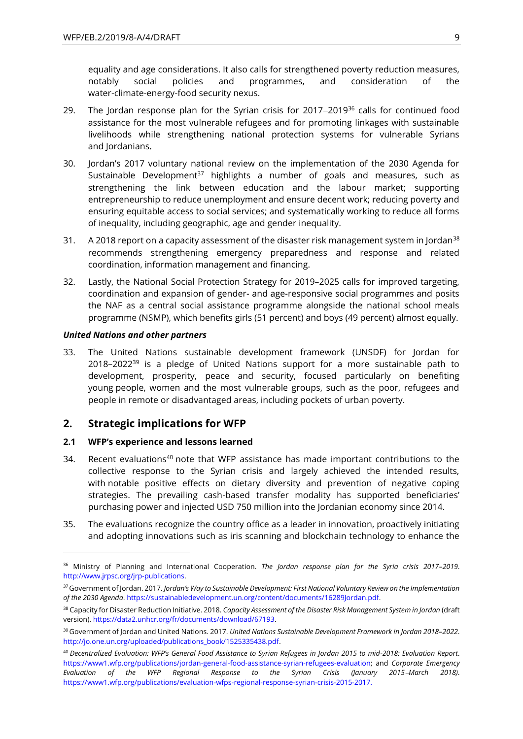equality and age considerations. It also calls for strengthened poverty reduction measures, notably social policies and programmes, and consideration of the water-climate-energy-food security nexus.

- 29. The Jordan response plan for the Syrian crisis for 2017–2019<sup>36</sup> calls for continued food assistance for the most vulnerable refugees and for promoting linkages with sustainable livelihoods while strengthening national protection systems for vulnerable Syrians and Jordanians.
- 30. Jordan's 2017 voluntary national review on the implementation of the 2030 Agenda for Sustainable Development<sup>37</sup> highlights a number of goals and measures, such as strengthening the link between education and the labour market; supporting entrepreneurship to reduce unemployment and ensure decent work; reducing poverty and ensuring equitable access to social services; and systematically working to reduce all forms of inequality, including geographic, age and gender inequality.
- 31. A 2018 report on a capacity assessment of the disaster risk management system in Jordan<sup>38</sup> recommends strengthening emergency preparedness and response and related coordination, information management and financing.
- 32. Lastly, the National Social Protection Strategy for 2019–2025 calls for improved targeting, coordination and expansion of gender- and age-responsive social programmes and posits the NAF as a central social assistance programme alongside the national school meals programme (NSMP), which benefits girls (51 percent) and boys (49 percent) almost equally.

#### *United Nations and other partners*

-

33. The United Nations sustainable development framework (UNSDF) for Jordan for  $2018-2022^{39}$  is a pledge of United Nations support for a more sustainable path to development, prosperity, peace and security, focused particularly on benefiting young people, women and the most vulnerable groups, such as the poor, refugees and people in remote or disadvantaged areas, including pockets of urban poverty.

## **2. Strategic implications for WFP**

### **2.1 WFP's experience and lessons learned**

- 34. Recent evaluations<sup>40</sup> note that WFP assistance has made important contributions to the collective response to the Syrian crisis and largely achieved the intended results, with notable positive effects on dietary diversity and prevention of negative coping strategies. The prevailing cash-based transfer modality has supported beneficiaries' purchasing power and injected USD 750 million into the Jordanian economy since 2014.
- 35. The evaluations recognize the country office as a leader in innovation, proactively initiating and adopting innovations such as iris scanning and blockchain technology to enhance the

<sup>36</sup> Ministry of Planning and International Cooperation. *The Jordan response plan for the Syria crisis 2017–2019*. [http://www.jrpsc.org/jrp-publications.](http://www.jrpsc.org/jrp-publications)

<sup>37</sup>Government of Jordan. 2017. *Jordan's Way to Sustainable Development: First National Voluntary Review on the Implementation of the 2030 Agenda*[. https://sustainabledevelopment.un.org/content/documents/16289Jordan.pdf.](https://sustainabledevelopment.un.org/content/documents/16289Jordan.pdf)

<sup>38</sup> Capacity for Disaster Reduction Initiative. 2018. *Capacity Assessment of the Disaster Risk Management System in Jordan* (draft version). [https://data2.unhcr.org/fr/documents/download/67193.](https://data2.unhcr.org/fr/documents/download/67193)

<sup>39</sup> Government of Jordan and United Nations. 2017. *United Nations Sustainable Development Framework in Jordan 2018–2022*. [http://jo.one.un.org/uploaded/publications\\_book/1525335438.pdf.](http://jo.one.un.org/uploaded/publications_book/1525335438.pdf)

<sup>40</sup> *Decentralized Evaluation: WFP's General Food Assistance to Syrian Refugees in Jordan 2015 to mid-2018: Evaluation Report*. [https://www1.wfp.org/publications/jordan-general-food-assistance-syrian-refugees-evaluation;](https://www1.wfp.org/publications/jordan-general-food-assistance-syrian-refugees-evaluation) and *Corporate Emergency Evaluation of the WFP Regional Response to the Syrian Crisis (January 2015*−*March 2018)*. [https://www1.wfp.org/publications/evaluation-wfps-regional-response-syrian-crisis-2015-2017.](https://www1.wfp.org/publications/evaluation-wfps-regional-response-syrian-crisis-2015-2017)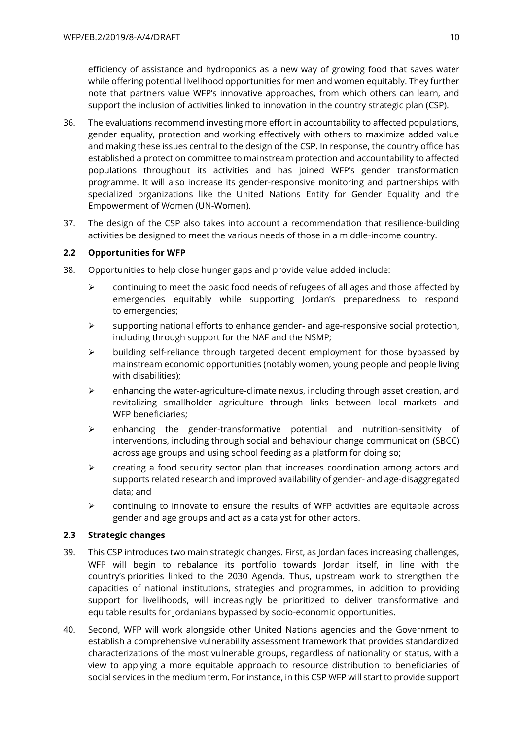efficiency of assistance and hydroponics as a new way of growing food that saves water while offering potential livelihood opportunities for men and women equitably. They further note that partners value WFP's innovative approaches, from which others can learn, and support the inclusion of activities linked to innovation in the country strategic plan (CSP).

- 36. The evaluations recommend investing more effort in accountability to affected populations, gender equality, protection and working effectively with others to maximize added value and making these issues central to the design of the CSP. In response, the country office has established a protection committee to mainstream protection and accountability to affected populations throughout its activities and has joined WFP's gender transformation programme. It will also increase its gender-responsive monitoring and partnerships with specialized organizations like the United Nations Entity for Gender Equality and the Empowerment of Women (UN-Women).
- 37. The design of the CSP also takes into account a recommendation that resilience-building activities be designed to meet the various needs of those in a middle-income country.

## **2.2 Opportunities for WFP**

- 38. Opportunities to help close hunger gaps and provide value added include:
	- $\triangleright$  continuing to meet the basic food needs of refugees of all ages and those affected by emergencies equitably while supporting Jordan's preparedness to respond to emergencies;
	- $\triangleright$  supporting national efforts to enhance gender- and age-responsive social protection, including through support for the NAF and the NSMP;
	- $\triangleright$  building self-reliance through targeted decent employment for those bypassed by mainstream economic opportunities (notably women, young people and people living with disabilities);
	- $\triangleright$  enhancing the water-agriculture-climate nexus, including through asset creation, and revitalizing smallholder agriculture through links between local markets and WFP beneficiaries;
	- ➢ enhancing the gender-transformative potential and nutrition-sensitivity of interventions, including through social and behaviour change communication (SBCC) across age groups and using school feeding as a platform for doing so;
	- $\geq$  creating a food security sector plan that increases coordination among actors and supports related research and improved availability of gender- and age-disaggregated data; and
	- ➢ continuing to innovate to ensure the results of WFP activities are equitable across gender and age groups and act as a catalyst for other actors.

### **2.3 Strategic changes**

- 39. This CSP introduces two main strategic changes. First, as Jordan faces increasing challenges, WFP will begin to rebalance its portfolio towards Jordan itself, in line with the country's priorities linked to the 2030 Agenda. Thus, upstream work to strengthen the capacities of national institutions, strategies and programmes, in addition to providing support for livelihoods, will increasingly be prioritized to deliver transformative and equitable results for Jordanians bypassed by socio-economic opportunities.
- 40. Second, WFP will work alongside other United Nations agencies and the Government to establish a comprehensive vulnerability assessment framework that provides standardized characterizations of the most vulnerable groups, regardless of nationality or status, with a view to applying a more equitable approach to resource distribution to beneficiaries of social services in the medium term. For instance, in this CSP WFP will start to provide support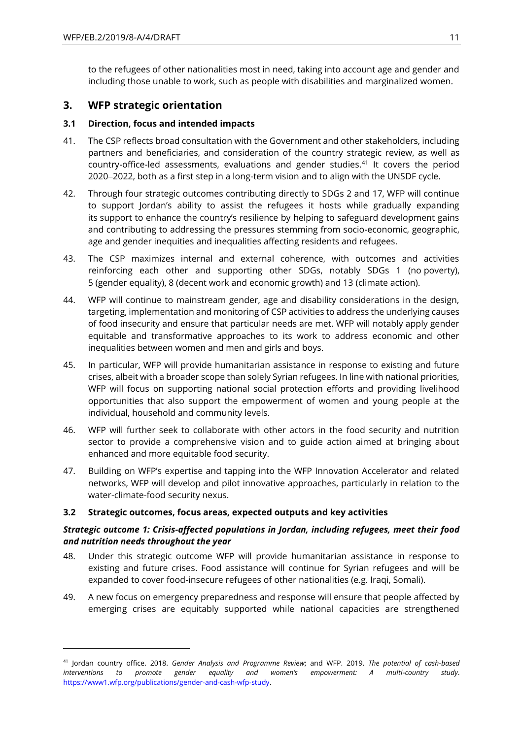$\overline{a}$ 

to the refugees of other nationalities most in need, taking into account age and gender and including those unable to work, such as people with disabilities and marginalized women.

## **3. WFP strategic orientation**

## **3.1 Direction, focus and intended impacts**

- 41. The CSP reflects broad consultation with the Government and other stakeholders, including partners and beneficiaries, and consideration of the country strategic review, as well as country-office-led assessments, evaluations and gender studies.<sup>41</sup> It covers the period 2020−2022, both as a first step in a long-term vision and to align with the UNSDF cycle.
- 42. Through four strategic outcomes contributing directly to SDGs 2 and 17, WFP will continue to support Jordan's ability to assist the refugees it hosts while gradually expanding its support to enhance the country's resilience by helping to safeguard development gains and contributing to addressing the pressures stemming from socio-economic, geographic, age and gender inequities and inequalities affecting residents and refugees.
- 43. The CSP maximizes internal and external coherence, with outcomes and activities reinforcing each other and supporting other SDGs, notably SDGs 1 (no poverty), 5 (gender equality), 8 (decent work and economic growth) and 13 (climate action).
- 44. WFP will continue to mainstream gender, age and disability considerations in the design, targeting, implementation and monitoring of CSP activities to address the underlying causes of food insecurity and ensure that particular needs are met. WFP will notably apply gender equitable and transformative approaches to its work to address economic and other inequalities between women and men and girls and boys.
- 45. In particular, WFP will provide humanitarian assistance in response to existing and future crises, albeit with a broader scope than solely Syrian refugees. In line with national priorities, WFP will focus on supporting national social protection efforts and providing livelihood opportunities that also support the empowerment of women and young people at the individual, household and community levels.
- 46. WFP will further seek to collaborate with other actors in the food security and nutrition sector to provide a comprehensive vision and to guide action aimed at bringing about enhanced and more equitable food security.
- 47. Building on WFP's expertise and tapping into the WFP Innovation Accelerator and related networks, WFP will develop and pilot innovative approaches, particularly in relation to the water-climate-food security nexus.

## **3.2 Strategic outcomes, focus areas, expected outputs and key activities**

## *Strategic outcome 1: Crisis-affected populations in Jordan, including refugees, meet their food and nutrition needs throughout the year*

- 48. Under this strategic outcome WFP will provide humanitarian assistance in response to existing and future crises. Food assistance will continue for Syrian refugees and will be expanded to cover food-insecure refugees of other nationalities (e.g. Iraqi, Somali).
- 49. A new focus on emergency preparedness and response will ensure that people affected by emerging crises are equitably supported while national capacities are strengthened

<sup>41</sup> Jordan country office. 2018. *Gender Analysis and Programme Review*; and WFP. 2019. *The potential of cash-based interventions to promote gender equality and women's empowerment: A multi-country study*. [https://www1.wfp.org/publications/gender-and-cash-wfp-study.](https://www1.wfp.org/publications/gender-and-cash-wfp-study)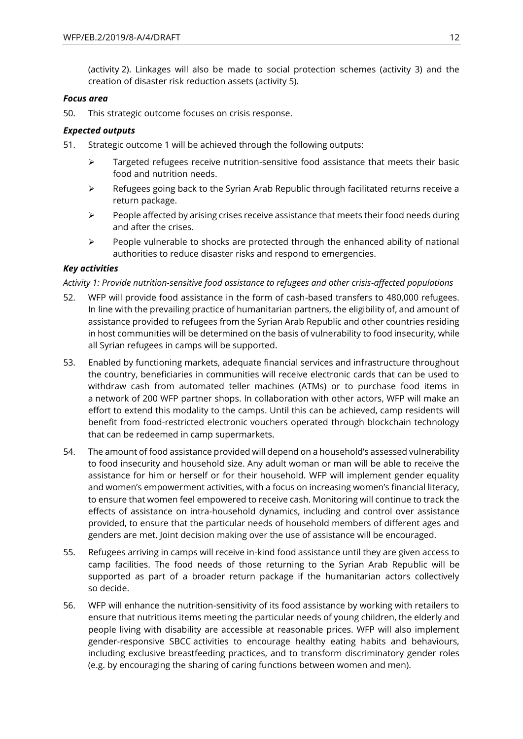(activity 2). Linkages will also be made to social protection schemes (activity 3) and the creation of disaster risk reduction assets (activity 5).

### *Focus area*

50. This strategic outcome focuses on crisis response.

## *Expected outputs*

- 51. Strategic outcome 1 will be achieved through the following outputs:
	- $\triangleright$  Targeted refugees receive nutrition-sensitive food assistance that meets their basic food and nutrition needs.
	- $\triangleright$  Refugees going back to the Syrian Arab Republic through facilitated returns receive a return package.
	- ➢ People affected by arising crises receive assistance that meets their food needs during and after the crises.
	- $\triangleright$  People vulnerable to shocks are protected through the enhanced ability of national authorities to reduce disaster risks and respond to emergencies.

## *Key activities*

## *Activity 1: Provide nutrition-sensitive food assistance to refugees and other crisis-affected populations*

- 52. WFP will provide food assistance in the form of cash-based transfers to 480,000 refugees. In line with the prevailing practice of humanitarian partners, the eligibility of, and amount of assistance provided to refugees from the Syrian Arab Republic and other countries residing in host communities will be determined on the basis of vulnerability to food insecurity, while all Syrian refugees in camps will be supported.
- 53. Enabled by functioning markets, adequate financial services and infrastructure throughout the country, beneficiaries in communities will receive electronic cards that can be used to withdraw cash from automated teller machines (ATMs) or to purchase food items in a network of 200 WFP partner shops. In collaboration with other actors, WFP will make an effort to extend this modality to the camps. Until this can be achieved, camp residents will benefit from food-restricted electronic vouchers operated through blockchain technology that can be redeemed in camp supermarkets.
- 54. The amount of food assistance provided will depend on a household's assessed vulnerability to food insecurity and household size. Any adult woman or man will be able to receive the assistance for him or herself or for their household. WFP will implement gender equality and women's empowerment activities, with a focus on increasing women's financial literacy, to ensure that women feel empowered to receive cash. Monitoring will continue to track the effects of assistance on intra-household dynamics, including and control over assistance provided, to ensure that the particular needs of household members of different ages and genders are met. Joint decision making over the use of assistance will be encouraged.
- 55. Refugees arriving in camps will receive in-kind food assistance until they are given access to camp facilities. The food needs of those returning to the Syrian Arab Republic will be supported as part of a broader return package if the humanitarian actors collectively so decide.
- 56. WFP will enhance the nutrition-sensitivity of its food assistance by working with retailers to ensure that nutritious items meeting the particular needs of young children, the elderly and people living with disability are accessible at reasonable prices. WFP will also implement gender-responsive SBCC activities to encourage healthy eating habits and behaviours, including exclusive breastfeeding practices, and to transform discriminatory gender roles (e.g. by encouraging the sharing of caring functions between women and men).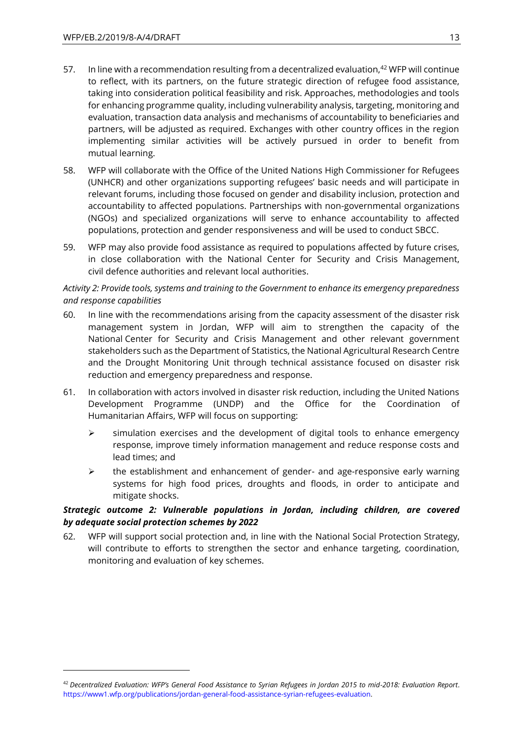$\overline{a}$ 

- 57. In line with a recommendation resulting from a decentralized evaluation, $42$  WFP will continue to reflect, with its partners, on the future strategic direction of refugee food assistance, taking into consideration political feasibility and risk. Approaches, methodologies and tools for enhancing programme quality, including vulnerability analysis, targeting, monitoring and evaluation, transaction data analysis and mechanisms of accountability to beneficiaries and partners, will be adjusted as required. Exchanges with other country offices in the region implementing similar activities will be actively pursued in order to benefit from mutual learning.
- 58. WFP will collaborate with the Office of the United Nations High Commissioner for Refugees (UNHCR) and other organizations supporting refugees' basic needs and will participate in relevant forums, including those focused on gender and disability inclusion, protection and accountability to affected populations. Partnerships with non-governmental organizations (NGOs) and specialized organizations will serve to enhance accountability to affected populations, protection and gender responsiveness and will be used to conduct SBCC.
- 59. WFP may also provide food assistance as required to populations affected by future crises, in close collaboration with the National Center for Security and Crisis Management, civil defence authorities and relevant local authorities.

## *Activity 2: Provide tools, systems and training to the Government to enhance its emergency preparedness and response capabilities*

- 60. In line with the recommendations arising from the capacity assessment of the disaster risk management system in Jordan, WFP will aim to strengthen the capacity of the National Center for Security and Crisis Management and other relevant government stakeholders such as the Department of Statistics, the National Agricultural Research Centre and the Drought Monitoring Unit through technical assistance focused on disaster risk reduction and emergency preparedness and response.
- 61. In collaboration with actors involved in disaster risk reduction, including the United Nations Development Programme (UNDP) and the Office for the Coordination of Humanitarian Affairs, WFP will focus on supporting:
	- $\triangleright$  simulation exercises and the development of digital tools to enhance emergency response, improve timely information management and reduce response costs and lead times; and
	- $\triangleright$  the establishment and enhancement of gender- and age-responsive early warning systems for high food prices, droughts and floods, in order to anticipate and mitigate shocks.

## *Strategic outcome 2: Vulnerable populations in Jordan, including children, are covered by adequate social protection schemes by 2022*

62. WFP will support social protection and, in line with the National Social Protection Strategy, will contribute to efforts to strengthen the sector and enhance targeting, coordination, monitoring and evaluation of key schemes.

<sup>42</sup> *Decentralized Evaluation: WFP's General Food Assistance to Syrian Refugees in Jordan 2015 to mid-2018: Evaluation Report*. [https://www1.wfp.org/publications/jordan-general-food-assistance-syrian-refugees-evaluation.](https://www1.wfp.org/publications/jordan-general-food-assistance-syrian-refugees-evaluation)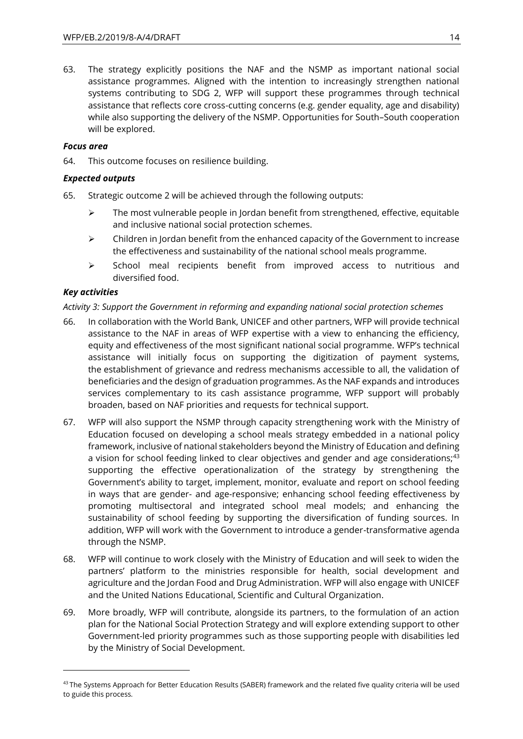63. The strategy explicitly positions the NAF and the NSMP as important national social assistance programmes. Aligned with the intention to increasingly strengthen national systems contributing to SDG 2, WFP will support these programmes through technical assistance that reflects core cross-cutting concerns (e.g. gender equality, age and disability) while also supporting the delivery of the NSMP. Opportunities for South–South cooperation will be explored.

### *Focus area*

64. This outcome focuses on resilience building.

## *Expected outputs*

- 65. Strategic outcome 2 will be achieved through the following outputs:
	- $\triangleright$  The most vulnerable people in Jordan benefit from strengthened, effective, equitable and inclusive national social protection schemes.
	- $\triangleright$  Children in Jordan benefit from the enhanced capacity of the Government to increase the effectiveness and sustainability of the national school meals programme.
	- ➢ School meal recipients benefit from improved access to nutritious and diversified food.

## *Key activities*

 $\overline{a}$ 

*Activity 3: Support the Government in reforming and expanding national social protection schemes*

- 66. In collaboration with the World Bank, UNICEF and other partners, WFP will provide technical assistance to the NAF in areas of WFP expertise with a view to enhancing the efficiency, equity and effectiveness of the most significant national social programme. WFP's technical assistance will initially focus on supporting the digitization of payment systems, the establishment of grievance and redress mechanisms accessible to all, the validation of beneficiaries and the design of graduation programmes. As the NAF expands and introduces services complementary to its cash assistance programme, WFP support will probably broaden, based on NAF priorities and requests for technical support.
- 67. WFP will also support the NSMP through capacity strengthening work with the Ministry of Education focused on developing a school meals strategy embedded in a national policy framework, inclusive of national stakeholders beyond the Ministry of Education and defining a vision for school feeding linked to clear objectives and gender and age considerations;<sup>43</sup> supporting the effective operationalization of the strategy by strengthening the Government's ability to target, implement, monitor, evaluate and report on school feeding in ways that are gender- and age-responsive; enhancing school feeding effectiveness by promoting multisectoral and integrated school meal models; and enhancing the sustainability of school feeding by supporting the diversification of funding sources. In addition, WFP will work with the Government to introduce a gender-transformative agenda through the NSMP.
- 68. WFP will continue to work closely with the Ministry of Education and will seek to widen the partners' platform to the ministries responsible for health, social development and agriculture and the Jordan Food and Drug Administration. WFP will also engage with UNICEF and the United Nations Educational, Scientific and Cultural Organization.
- 69. More broadly, WFP will contribute, alongside its partners, to the formulation of an action plan for the National Social Protection Strategy and will explore extending support to other Government-led priority programmes such as those supporting people with disabilities led by the Ministry of Social Development.

 $43$ The Systems Approach for Better Education Results (SABER) framework and the related five quality criteria will be used to guide this process.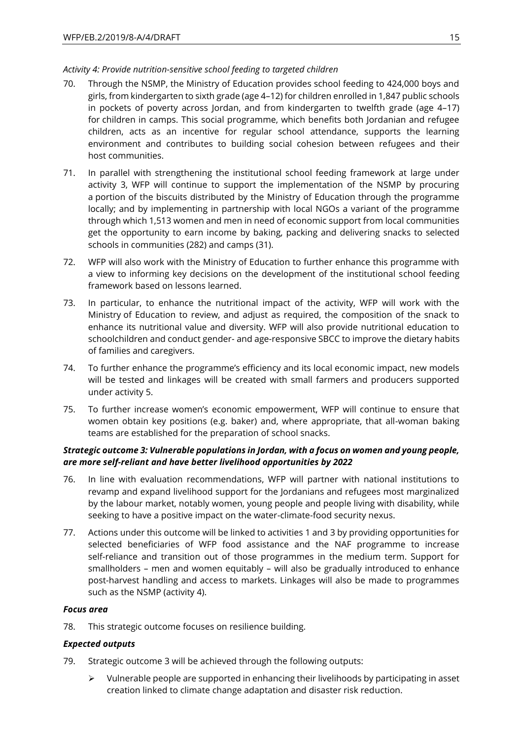## *Activity 4: Provide nutrition-sensitive school feeding to targeted children*

- 70. Through the NSMP, the Ministry of Education provides school feeding to 424,000 boys and girls, from kindergarten to sixth grade (age 4–12) for children enrolled in 1,847 public schools in pockets of poverty across Jordan, and from kindergarten to twelfth grade (age 4–17) for children in camps. This social programme, which benefits both Jordanian and refugee children, acts as an incentive for regular school attendance, supports the learning environment and contributes to building social cohesion between refugees and their host communities.
- 71. In parallel with strengthening the institutional school feeding framework at large under activity 3, WFP will continue to support the implementation of the NSMP by procuring a portion of the biscuits distributed by the Ministry of Education through the programme locally; and by implementing in partnership with local NGOs a variant of the programme through which 1,513 women and men in need of economic support from local communities get the opportunity to earn income by baking, packing and delivering snacks to selected schools in communities (282) and camps (31).
- 72. WFP will also work with the Ministry of Education to further enhance this programme with a view to informing key decisions on the development of the institutional school feeding framework based on lessons learned.
- 73. In particular, to enhance the nutritional impact of the activity, WFP will work with the Ministry of Education to review, and adjust as required, the composition of the snack to enhance its nutritional value and diversity. WFP will also provide nutritional education to schoolchildren and conduct gender- and age-responsive SBCC to improve the dietary habits of families and caregivers.
- 74. To further enhance the programme's efficiency and its local economic impact, new models will be tested and linkages will be created with small farmers and producers supported under activity 5.
- 75. To further increase women's economic empowerment, WFP will continue to ensure that women obtain key positions (e.g. baker) and, where appropriate, that all-woman baking teams are established for the preparation of school snacks.

## *Strategic outcome 3: Vulnerable populations in Jordan, with a focus on women and young people, are more self-reliant and have better livelihood opportunities by 2022*

- 76. In line with evaluation recommendations, WFP will partner with national institutions to revamp and expand livelihood support for the Jordanians and refugees most marginalized by the labour market, notably women, young people and people living with disability, while seeking to have a positive impact on the water-climate-food security nexus.
- 77. Actions under this outcome will be linked to activities 1 and 3 by providing opportunities for selected beneficiaries of WFP food assistance and the NAF programme to increase self-reliance and transition out of those programmes in the medium term. Support for smallholders – men and women equitably – will also be gradually introduced to enhance post-harvest handling and access to markets. Linkages will also be made to programmes such as the NSMP (activity 4).

## *Focus area*

78. This strategic outcome focuses on resilience building.

## *Expected outputs*

- 79. Strategic outcome 3 will be achieved through the following outputs:
	- $\triangleright$  Vulnerable people are supported in enhancing their livelihoods by participating in asset creation linked to climate change adaptation and disaster risk reduction.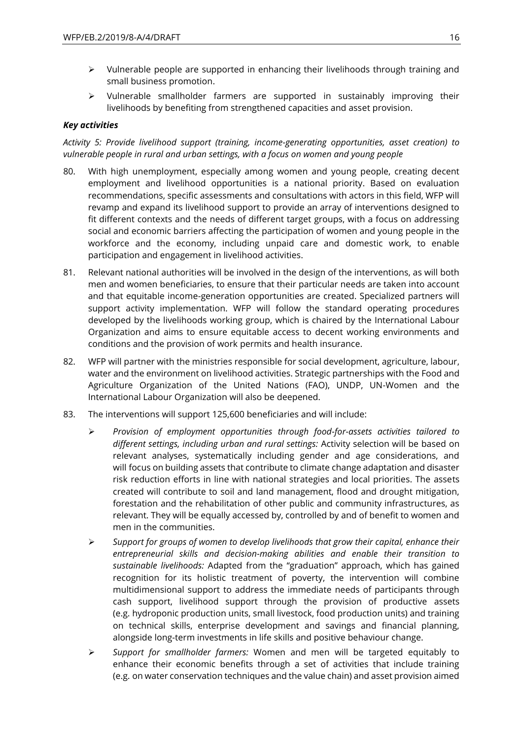- $\triangleright$  Vulnerable people are supported in enhancing their livelihoods through training and small business promotion.
- ➢ Vulnerable smallholder farmers are supported in sustainably improving their livelihoods by benefiting from strengthened capacities and asset provision.

## *Key activities*

*Activity 5: Provide livelihood support (training, income-generating opportunities, asset creation) to vulnerable people in rural and urban settings, with a focus on women and young people* 

- 80. With high unemployment, especially among women and young people, creating decent employment and livelihood opportunities is a national priority. Based on evaluation recommendations, specific assessments and consultations with actors in this field, WFP will revamp and expand its livelihood support to provide an array of interventions designed to fit different contexts and the needs of different target groups, with a focus on addressing social and economic barriers affecting the participation of women and young people in the workforce and the economy, including unpaid care and domestic work, to enable participation and engagement in livelihood activities.
- 81. Relevant national authorities will be involved in the design of the interventions, as will both men and women beneficiaries, to ensure that their particular needs are taken into account and that equitable income-generation opportunities are created. Specialized partners will support activity implementation. WFP will follow the standard operating procedures developed by the livelihoods working group, which is chaired by the International Labour Organization and aims to ensure equitable access to decent working environments and conditions and the provision of work permits and health insurance.
- 82. WFP will partner with the ministries responsible for social development, agriculture, labour, water and the environment on livelihood activities. Strategic partnerships with the Food and Agriculture Organization of the United Nations (FAO), UNDP, UN-Women and the International Labour Organization will also be deepened.
- 83. The interventions will support 125,600 beneficiaries and will include:
	- ➢ *Provision of employment opportunities through food-for-assets activities tailored to different settings, including urban and rural settings:* Activity selection will be based on relevant analyses, systematically including gender and age considerations, and will focus on building assets that contribute to climate change adaptation and disaster risk reduction efforts in line with national strategies and local priorities. The assets created will contribute to soil and land management, flood and drought mitigation, forestation and the rehabilitation of other public and community infrastructures, as relevant. They will be equally accessed by, controlled by and of benefit to women and men in the communities.
	- ➢ *Support for groups of women to develop livelihoods that grow their capital, enhance their entrepreneurial skills and decision-making abilities and enable their transition to sustainable livelihoods:* Adapted from the "graduation" approach, which has gained recognition for its holistic treatment of poverty, the intervention will combine multidimensional support to address the immediate needs of participants through cash support, livelihood support through the provision of productive assets (e.g. hydroponic production units, small livestock, food production units) and training on technical skills, enterprise development and savings and financial planning, alongside long-term investments in life skills and positive behaviour change.
	- ➢ *Support for smallholder farmers:* Women and men will be targeted equitably to enhance their economic benefits through a set of activities that include training (e.g. on water conservation techniques and the value chain) and asset provision aimed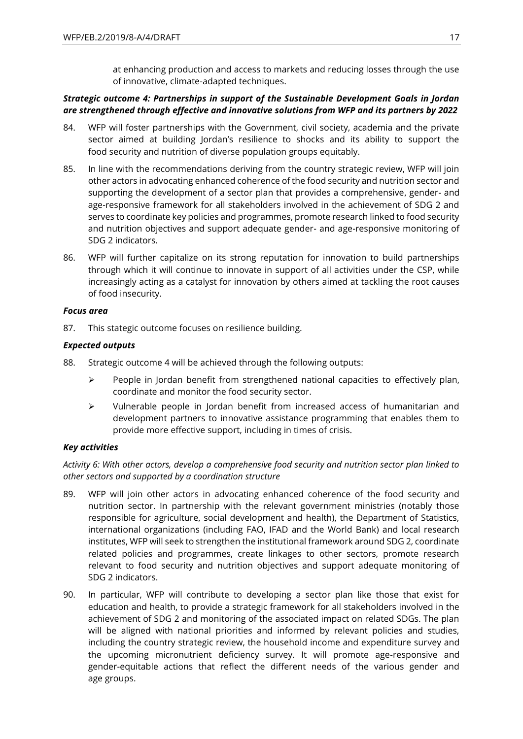at enhancing production and access to markets and reducing losses through the use of innovative, climate-adapted techniques.

## *Strategic outcome 4: Partnerships in support of the Sustainable Development Goals in Jordan are strengthened through effective and innovative solutions from WFP and its partners by 2022*

- 84. WFP will foster partnerships with the Government, civil society, academia and the private sector aimed at building Jordan's resilience to shocks and its ability to support the food security and nutrition of diverse population groups equitably.
- 85. In line with the recommendations deriving from the country strategic review, WFP will join other actors in advocating enhanced coherence of the food security and nutrition sector and supporting the development of a sector plan that provides a comprehensive, gender- and age-responsive framework for all stakeholders involved in the achievement of SDG 2 and serves to coordinate key policies and programmes, promote research linked to food security and nutrition objectives and support adequate gender- and age-responsive monitoring of SDG 2 indicators.
- 86. WFP will further capitalize on its strong reputation for innovation to build partnerships through which it will continue to innovate in support of all activities under the CSP, while increasingly acting as a catalyst for innovation by others aimed at tackling the root causes of food insecurity.

## *Focus area*

87. This stategic outcome focuses on resilience building.

## *Expected outputs*

- 88. Strategic outcome 4 will be achieved through the following outputs:
	- $\triangleright$  People in Jordan benefit from strengthened national capacities to effectively plan, coordinate and monitor the food security sector.
	- ➢ Vulnerable people in Jordan benefit from increased access of humanitarian and development partners to innovative assistance programming that enables them to provide more effective support, including in times of crisis.

## *Key activities*

*Activity 6: With other actors, develop a comprehensive food security and nutrition sector plan linked to other sectors and supported by a coordination structure*

- 89. WFP will join other actors in advocating enhanced coherence of the food security and nutrition sector. In partnership with the relevant government ministries (notably those responsible for agriculture, social development and health), the Department of Statistics, international organizations (including FAO, IFAD and the World Bank) and local research institutes, WFP will seek to strengthen the institutional framework around SDG 2, coordinate related policies and programmes, create linkages to other sectors, promote research relevant to food security and nutrition objectives and support adequate monitoring of SDG 2 indicators.
- 90. In particular, WFP will contribute to developing a sector plan like those that exist for education and health, to provide a strategic framework for all stakeholders involved in the achievement of SDG 2 and monitoring of the associated impact on related SDGs. The plan will be aligned with national priorities and informed by relevant policies and studies, including the country strategic review, the household income and expenditure survey and the upcoming micronutrient deficiency survey. It will promote age-responsive and gender-equitable actions that reflect the different needs of the various gender and age groups.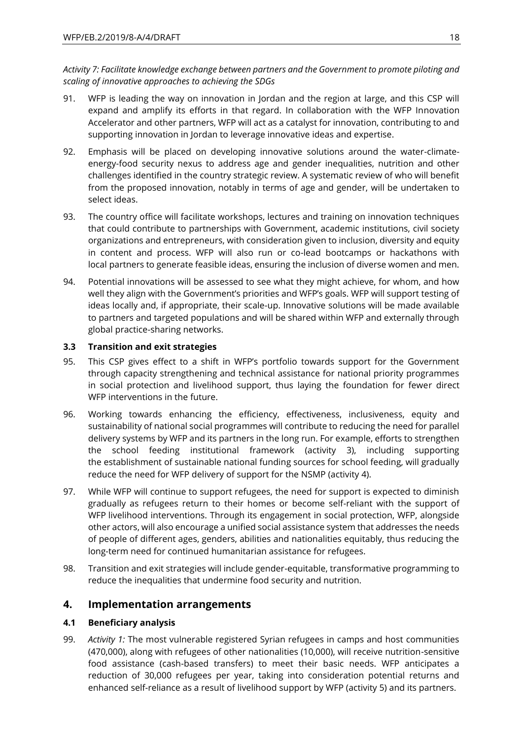*Activity 7: Facilitate knowledge exchange between partners and the Government to promote piloting and scaling of innovative approaches to achieving the SDGs* 

- 91. WFP is leading the way on innovation in Jordan and the region at large, and this CSP will expand and amplify its efforts in that regard. In collaboration with the WFP Innovation Accelerator and other partners, WFP will act as a catalyst for innovation, contributing to and supporting innovation in Jordan to leverage innovative ideas and expertise.
- 92. Emphasis will be placed on developing innovative solutions around the water-climateenergy-food security nexus to address age and gender inequalities, nutrition and other challenges identified in the country strategic review. A systematic review of who will benefit from the proposed innovation, notably in terms of age and gender, will be undertaken to select ideas.
- 93. The country office will facilitate workshops, lectures and training on innovation techniques that could contribute to partnerships with Government, academic institutions, civil society organizations and entrepreneurs, with consideration given to inclusion, diversity and equity in content and process. WFP will also run or co-lead bootcamps or hackathons with local partners to generate feasible ideas, ensuring the inclusion of diverse women and men.
- 94. Potential innovations will be assessed to see what they might achieve, for whom, and how well they align with the Government's priorities and WFP's goals. WFP will support testing of ideas locally and, if appropriate, their scale-up. Innovative solutions will be made available to partners and targeted populations and will be shared within WFP and externally through global practice-sharing networks.

## **3.3 Transition and exit strategies**

- 95. This CSP gives effect to a shift in WFP's portfolio towards support for the Government through capacity strengthening and technical assistance for national priority programmes in social protection and livelihood support, thus laying the foundation for fewer direct WFP interventions in the future.
- 96. Working towards enhancing the efficiency, effectiveness, inclusiveness, equity and sustainability of national social programmes will contribute to reducing the need for parallel delivery systems by WFP and its partners in the long run. For example, efforts to strengthen the school feeding institutional framework (activity 3), including supporting the establishment of sustainable national funding sources for school feeding, will gradually reduce the need for WFP delivery of support for the NSMP (activity 4).
- 97. While WFP will continue to support refugees, the need for support is expected to diminish gradually as refugees return to their homes or become self-reliant with the support of WFP livelihood interventions. Through its engagement in social protection, WFP, alongside other actors, will also encourage a unified social assistance system that addresses the needs of people of different ages, genders, abilities and nationalities equitably, thus reducing the long-term need for continued humanitarian assistance for refugees.
- 98. Transition and exit strategies will include gender-equitable, transformative programming to reduce the inequalities that undermine food security and nutrition.

## **4. Implementation arrangements**

## **4.1 Beneficiary analysis**

99. *Activity 1:* The most vulnerable registered Syrian refugees in camps and host communities (470,000), along with refugees of other nationalities (10,000), will receive nutrition-sensitive food assistance (cash-based transfers) to meet their basic needs. WFP anticipates a reduction of 30,000 refugees per year, taking into consideration potential returns and enhanced self-reliance as a result of livelihood support by WFP (activity 5) and its partners.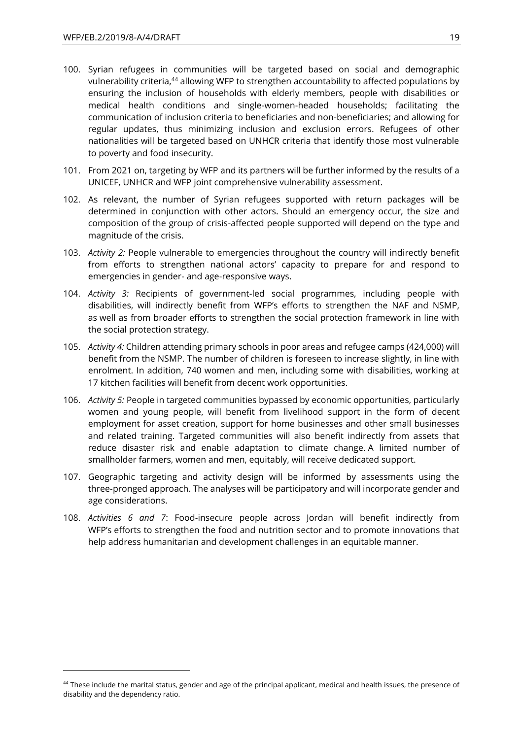- 100. Syrian refugees in communities will be targeted based on social and demographic vulnerability criteria,<sup>44</sup> allowing WFP to strengthen accountability to affected populations by ensuring the inclusion of households with elderly members, people with disabilities or medical health conditions and single-women-headed households; facilitating the communication of inclusion criteria to beneficiaries and non-beneficiaries; and allowing for regular updates, thus minimizing inclusion and exclusion errors. Refugees of other nationalities will be targeted based on UNHCR criteria that identify those most vulnerable to poverty and food insecurity.
- 101. From 2021 on, targeting by WFP and its partners will be further informed by the results of a UNICEF, UNHCR and WFP joint comprehensive vulnerability assessment.
- 102. As relevant, the number of Syrian refugees supported with return packages will be determined in conjunction with other actors. Should an emergency occur, the size and composition of the group of crisis-affected people supported will depend on the type and magnitude of the crisis.
- 103. *Activity 2:* People vulnerable to emergencies throughout the country will indirectly benefit from efforts to strengthen national actors' capacity to prepare for and respond to emergencies in gender- and age-responsive ways.
- 104. *Activity 3:* Recipients of government-led social programmes, including people with disabilities, will indirectly benefit from WFP's efforts to strengthen the NAF and NSMP, as well as from broader efforts to strengthen the social protection framework in line with the social protection strategy.
- 105. *Activity 4:* Children attending primary schools in poor areas and refugee camps (424,000) will benefit from the NSMP. The number of children is foreseen to increase slightly, in line with enrolment. In addition, 740 women and men, including some with disabilities, working at 17 kitchen facilities will benefit from decent work opportunities.
- 106. *Activity 5:* People in targeted communities bypassed by economic opportunities, particularly women and young people, will benefit from livelihood support in the form of decent employment for asset creation, support for home businesses and other small businesses and related training. Targeted communities will also benefit indirectly from assets that reduce disaster risk and enable adaptation to climate change. A limited number of smallholder farmers, women and men, equitably, will receive dedicated support.
- 107. Geographic targeting and activity design will be informed by assessments using the three-pronged approach. The analyses will be participatory and will incorporate gender and age considerations.
- 108. *Activities 6 and 7*: Food-insecure people across Jordan will benefit indirectly from WFP's efforts to strengthen the food and nutrition sector and to promote innovations that help address humanitarian and development challenges in an equitable manner.

<sup>&</sup>lt;sup>44</sup> These include the marital status, gender and age of the principal applicant, medical and health issues, the presence of disability and the dependency ratio.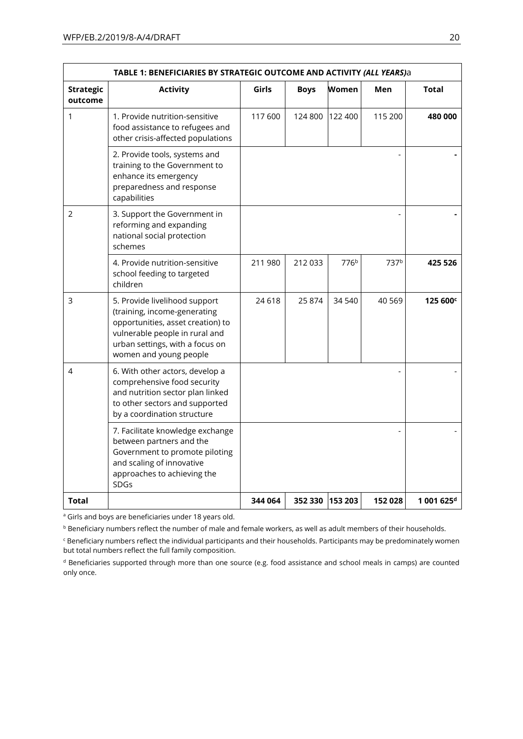|                             | TABLE 1: BENEFICIARIES BY STRATEGIC OUTCOME AND ACTIVITY (ALL YEARS)a                                                                                                                             |         |             |                  |                  |                        |
|-----------------------------|---------------------------------------------------------------------------------------------------------------------------------------------------------------------------------------------------|---------|-------------|------------------|------------------|------------------------|
| <b>Strategic</b><br>outcome | <b>Activity</b>                                                                                                                                                                                   | Girls   | <b>Boys</b> | Women            | Men              | <b>Total</b>           |
| 1                           | 1. Provide nutrition-sensitive<br>food assistance to refugees and<br>other crisis-affected populations                                                                                            | 117600  | 124 800     | 122 400          | 115 200          | 480 000                |
|                             | 2. Provide tools, systems and<br>training to the Government to<br>enhance its emergency<br>preparedness and response<br>capabilities                                                              |         |             |                  |                  |                        |
| 2                           | 3. Support the Government in<br>reforming and expanding<br>national social protection<br>schemes                                                                                                  |         |             |                  |                  |                        |
|                             | 4. Provide nutrition-sensitive<br>school feeding to targeted<br>children                                                                                                                          | 211 980 | 212 033     | 776 <sup>b</sup> | 737 <sup>b</sup> | 425 526                |
| 3                           | 5. Provide livelihood support<br>(training, income-generating<br>opportunities, asset creation) to<br>vulnerable people in rural and<br>urban settings, with a focus on<br>women and young people | 24 618  | 25 874      | 34 540           | 40 5 69          | 125 600 <sup>c</sup>   |
| 4                           | 6. With other actors, develop a<br>comprehensive food security<br>and nutrition sector plan linked<br>to other sectors and supported<br>by a coordination structure                               |         |             |                  |                  |                        |
|                             | 7. Facilitate knowledge exchange<br>between partners and the<br>Government to promote piloting<br>and scaling of innovative<br>approaches to achieving the<br>SDGs                                |         |             |                  |                  |                        |
| Total                       |                                                                                                                                                                                                   | 344 064 | 352 330     | 153 203          | 152028           | $1001625$ <sup>d</sup> |

<sup>a</sup> Girls and boys are beneficiaries under 18 years old.

**b** Beneficiary numbers reflect the number of male and female workers, as well as adult members of their households.

<sup>c</sup> Beneficiary numbers reflect the individual participants and their households. Participants may be predominately women but total numbers reflect the full family composition.

<sup>d</sup> Beneficiaries supported through more than one source (e.g. food assistance and school meals in camps) are counted only once.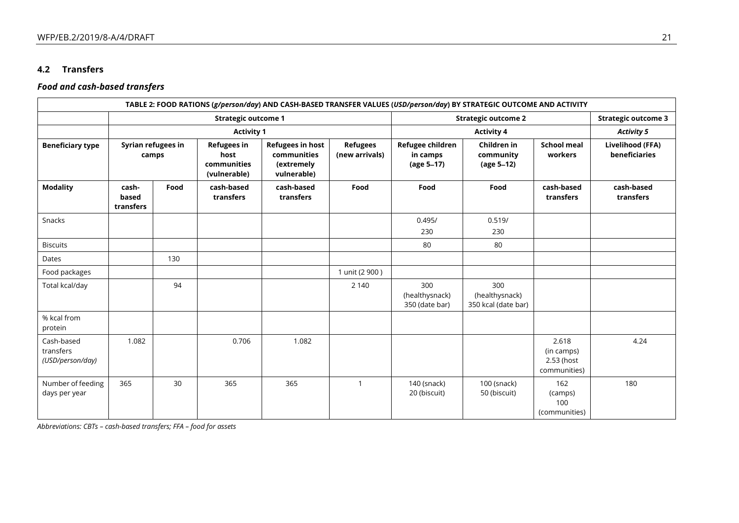## **4.2 Transfers**

## *Food and cash-based transfers*

|                                             |                             |                             |                                                           |                                                                     |                                   | TABLE 2: FOOD RATIONS (g/person/day) AND CASH-BASED TRANSFER VALUES (USD/person/day) BY STRATEGIC OUTCOME AND ACTIVITY |                                              |                                                   |                                   |
|---------------------------------------------|-----------------------------|-----------------------------|-----------------------------------------------------------|---------------------------------------------------------------------|-----------------------------------|------------------------------------------------------------------------------------------------------------------------|----------------------------------------------|---------------------------------------------------|-----------------------------------|
|                                             |                             | <b>Strategic outcome 1</b>  |                                                           |                                                                     |                                   | <b>Strategic outcome 2</b>                                                                                             |                                              |                                                   | <b>Strategic outcome 3</b>        |
|                                             | <b>Activity 1</b>           |                             |                                                           |                                                                     |                                   | <b>Activity 4</b>                                                                                                      |                                              |                                                   | <b>Activity 5</b>                 |
| <b>Beneficiary type</b>                     |                             | Syrian refugees in<br>camps | <b>Refugees in</b><br>host<br>communities<br>(vulnerable) | <b>Refugees in host</b><br>communities<br>(extremely<br>vulnerable) | <b>Refugees</b><br>(new arrivals) | Refugee children<br>in camps<br>(age 5-17)                                                                             | Children in<br>community<br>(age 5-12)       | <b>School meal</b><br>workers                     | Livelihood (FFA)<br>beneficiaries |
| <b>Modality</b>                             | cash-<br>based<br>transfers | Food                        | cash-based<br>transfers                                   | cash-based<br>transfers                                             | Food                              | Food                                                                                                                   | Food                                         | cash-based<br>transfers                           | cash-based<br>transfers           |
| Snacks                                      |                             |                             |                                                           |                                                                     |                                   | 0.495/<br>230                                                                                                          | 0.519/<br>230                                |                                                   |                                   |
| <b>Biscuits</b>                             |                             |                             |                                                           |                                                                     |                                   | 80                                                                                                                     | 80                                           |                                                   |                                   |
| Dates                                       |                             | 130                         |                                                           |                                                                     |                                   |                                                                                                                        |                                              |                                                   |                                   |
| Food packages                               |                             |                             |                                                           |                                                                     | 1 unit (2 900)                    |                                                                                                                        |                                              |                                                   |                                   |
| Total kcal/day                              |                             | 94                          |                                                           |                                                                     | 2 1 4 0                           | 300<br>(healthysnack)<br>350 (date bar)                                                                                | 300<br>(healthysnack)<br>350 kcal (date bar) |                                                   |                                   |
| % kcal from<br>protein                      |                             |                             |                                                           |                                                                     |                                   |                                                                                                                        |                                              |                                                   |                                   |
| Cash-based<br>transfers<br>(USD/person/day) | 1.082                       |                             | 0.706                                                     | 1.082                                                               |                                   |                                                                                                                        |                                              | 2.618<br>(in camps)<br>2.53 (host<br>communities) | 4.24                              |
| Number of feeding<br>days per year          | 365                         | 30                          | 365                                                       | 365                                                                 | $\mathbf{1}$                      | 140 (snack)<br>20 (biscuit)                                                                                            | 100 (snack)<br>50 (biscuit)                  | 162<br>(camps)<br>100<br>(communities)            | 180                               |

*Abbreviations: CBTs – cash-based transfers; FFA – food for assets*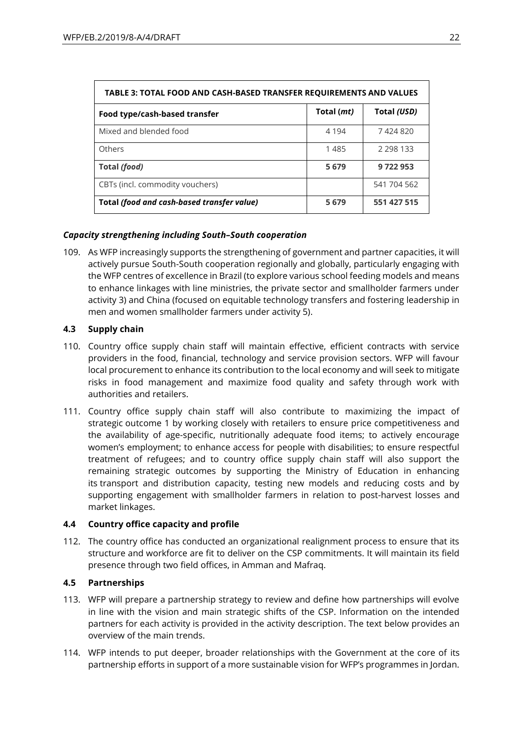| TABLE 3: TOTAL FOOD AND CASH-BASED TRANSFER REQUIREMENTS AND VALUES |            |               |  |  |
|---------------------------------------------------------------------|------------|---------------|--|--|
| Food type/cash-based transfer                                       | Total (mt) | Total (USD)   |  |  |
| Mixed and blended food                                              | 4 1 9 4    | 7424820       |  |  |
| Others                                                              | 1485       | 2 2 9 8 1 3 3 |  |  |
| Total (food)                                                        | 5 6 7 9    | 9722953       |  |  |
| CBTs (incl. commodity vouchers)                                     |            | 541 704 562   |  |  |
| Total (food and cash-based transfer value)                          | 5679       | 551 427 515   |  |  |

## *Capacity strengthening including South–South cooperation*

109. As WFP increasingly supports the strengthening of government and partner capacities, it will actively pursue South-South cooperation regionally and globally, particularly engaging with the WFP centres of excellence in Brazil (to explore various school feeding models and means to enhance linkages with line ministries, the private sector and smallholder farmers under activity 3) and China (focused on equitable technology transfers and fostering leadership in men and women smallholder farmers under activity 5).

## **4.3 Supply chain**

- 110. Country office supply chain staff will maintain effective, efficient contracts with service providers in the food, financial, technology and service provision sectors. WFP will favour local procurement to enhance its contribution to the local economy and will seek to mitigate risks in food management and maximize food quality and safety through work with authorities and retailers.
- 111. Country office supply chain staff will also contribute to maximizing the impact of strategic outcome 1 by working closely with retailers to ensure price competitiveness and the availability of age-specific, nutritionally adequate food items; to actively encourage women's employment; to enhance access for people with disabilities; to ensure respectful treatment of refugees; and to country office supply chain staff will also support the remaining strategic outcomes by supporting the Ministry of Education in enhancing its transport and distribution capacity, testing new models and reducing costs and by supporting engagement with smallholder farmers in relation to post-harvest losses and market linkages.

### **4.4 Country office capacity and profile**

112. The country office has conducted an organizational realignment process to ensure that its structure and workforce are fit to deliver on the CSP commitments. It will maintain its field presence through two field offices, in Amman and Mafraq.

## **4.5 Partnerships**

- 113. WFP will prepare a partnership strategy to review and define how partnerships will evolve in line with the vision and main strategic shifts of the CSP. Information on the intended partners for each activity is provided in the activity description. The text below provides an overview of the main trends.
- 114. WFP intends to put deeper, broader relationships with the Government at the core of its partnership efforts in support of a more sustainable vision for WFP's programmes in Jordan.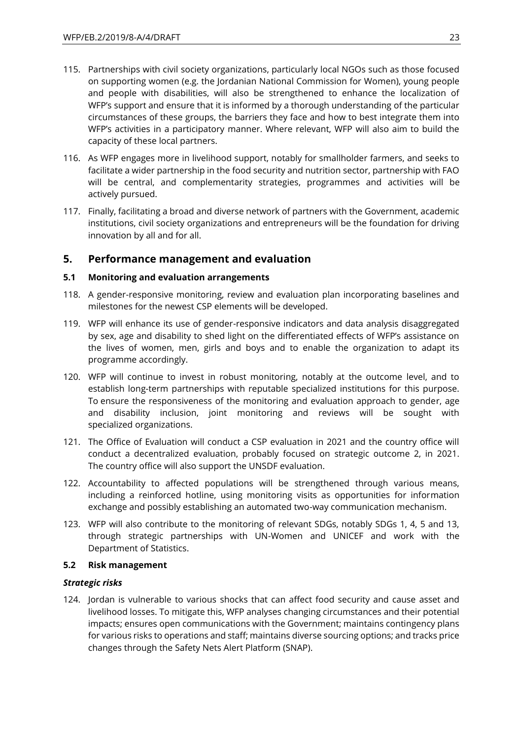- 115. Partnerships with civil society organizations, particularly local NGOs such as those focused on supporting women (e.g. the Jordanian National Commission for Women), young people and people with disabilities, will also be strengthened to enhance the localization of WFP's support and ensure that it is informed by a thorough understanding of the particular circumstances of these groups, the barriers they face and how to best integrate them into WFP's activities in a participatory manner. Where relevant, WFP will also aim to build the capacity of these local partners.
- 116. As WFP engages more in livelihood support, notably for smallholder farmers, and seeks to facilitate a wider partnership in the food security and nutrition sector, partnership with FAO will be central, and complementarity strategies, programmes and activities will be actively pursued.
- 117. Finally, facilitating a broad and diverse network of partners with the Government, academic institutions, civil society organizations and entrepreneurs will be the foundation for driving innovation by all and for all.

## **5. Performance management and evaluation**

### **5.1 Monitoring and evaluation arrangements**

- 118. A gender-responsive monitoring, review and evaluation plan incorporating baselines and milestones for the newest CSP elements will be developed.
- 119. WFP will enhance its use of gender-responsive indicators and data analysis disaggregated by sex, age and disability to shed light on the differentiated effects of WFP's assistance on the lives of women, men, girls and boys and to enable the organization to adapt its programme accordingly.
- 120. WFP will continue to invest in robust monitoring, notably at the outcome level, and to establish long-term partnerships with reputable specialized institutions for this purpose. To ensure the responsiveness of the monitoring and evaluation approach to gender, age and disability inclusion, joint monitoring and reviews will be sought with specialized organizations.
- 121. The Office of Evaluation will conduct a CSP evaluation in 2021 and the country office will conduct a decentralized evaluation, probably focused on strategic outcome 2, in 2021. The country office will also support the UNSDF evaluation.
- 122. Accountability to affected populations will be strengthened through various means, including a reinforced hotline, using monitoring visits as opportunities for information exchange and possibly establishing an automated two-way communication mechanism.
- 123. WFP will also contribute to the monitoring of relevant SDGs, notably SDGs 1, 4, 5 and 13, through strategic partnerships with UN-Women and UNICEF and work with the Department of Statistics.

### **5.2 Risk management**

## *Strategic risks*

124. Jordan is vulnerable to various shocks that can affect food security and cause asset and livelihood losses. To mitigate this, WFP analyses changing circumstances and their potential impacts; ensures open communications with the Government; maintains contingency plans for various risks to operations and staff; maintains diverse sourcing options; and tracks price changes through the Safety Nets Alert Platform (SNAP).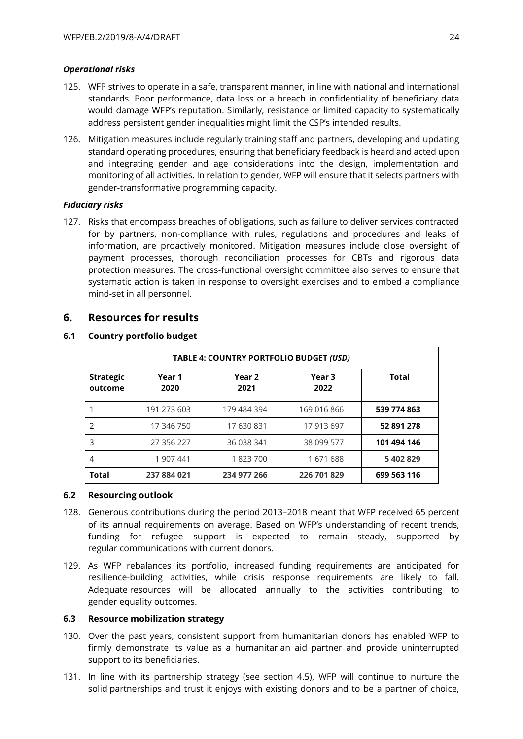### *Operational risks*

- 125. WFP strives to operate in a safe, transparent manner, in line with national and international standards. Poor performance, data loss or a breach in confidentiality of beneficiary data would damage WFP's reputation. Similarly, resistance or limited capacity to systematically address persistent gender inequalities might limit the CSP's intended results.
- 126. Mitigation measures include regularly training staff and partners, developing and updating standard operating procedures, ensuring that beneficiary feedback is heard and acted upon and integrating gender and age considerations into the design, implementation and monitoring of all activities. In relation to gender, WFP will ensure that it selects partners with gender-transformative programming capacity.

## *Fiduciary risks*

127. Risks that encompass breaches of obligations, such as failure to deliver services contracted for by partners, non-compliance with rules, regulations and procedures and leaks of information, are proactively monitored. Mitigation measures include close oversight of payment processes, thorough reconciliation processes for CBTs and rigorous data protection measures. The cross-functional oversight committee also serves to ensure that systematic action is taken in response to oversight exercises and to embed a compliance mind-set in all personnel.

## **6. Resources for results**

| TABLE 4: COUNTRY PORTFOLIO BUDGET (USD) |                |                           |                           |              |  |
|-----------------------------------------|----------------|---------------------------|---------------------------|--------------|--|
| <b>Strategic</b><br>outcome             | Year 1<br>2020 | Year <sub>2</sub><br>2021 | Year <sub>3</sub><br>2022 | <b>Total</b> |  |
|                                         | 191 273 603    | 179 484 394               | 169 016 866               | 539 774 863  |  |
| $\mathcal{P}$                           | 17 346 750     | 17 630 831                | 17 913 697                | 52 891 278   |  |
| 3                                       | 27 356 227     | 36 038 341                | 38 099 577                | 101 494 146  |  |
| 4                                       | 1 907 441      | 1823700                   | 1671688                   | 5 402 829    |  |
| <b>Total</b>                            | 237 884 021    | 234 977 266               | 226 701 829               | 699 563 116  |  |

## **6.1 Country portfolio budget**

### **6.2 Resourcing outlook**

- 128. Generous contributions during the period 2013–2018 meant that WFP received 65 percent of its annual requirements on average. Based on WFP's understanding of recent trends, funding for refugee support is expected to remain steady, supported by regular communications with current donors.
- 129. As WFP rebalances its portfolio, increased funding requirements are anticipated for resilience-building activities, while crisis response requirements are likely to fall. Adequate resources will be allocated annually to the activities contributing to gender equality outcomes.

## **6.3 Resource mobilization strategy**

- 130. Over the past years, consistent support from humanitarian donors has enabled WFP to firmly demonstrate its value as a humanitarian aid partner and provide uninterrupted support to its beneficiaries.
- 131. In line with its partnership strategy (see section 4.5), WFP will continue to nurture the solid partnerships and trust it enjoys with existing donors and to be a partner of choice,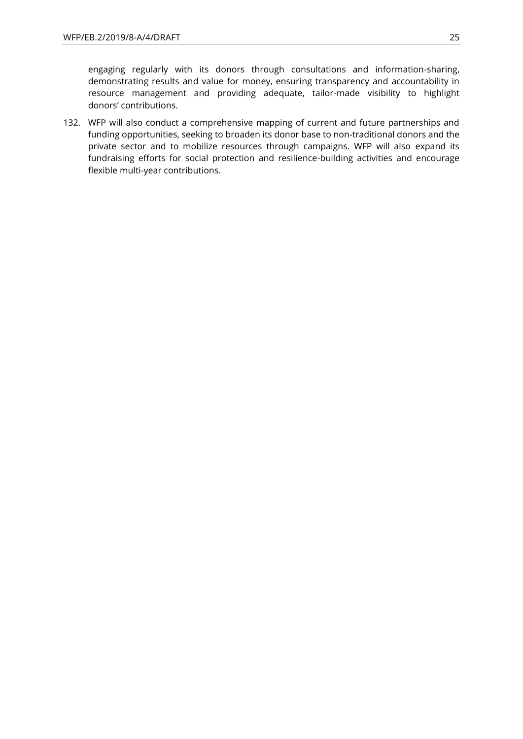engaging regularly with its donors through consultations and information-sharing, demonstrating results and value for money, ensuring transparency and accountability in resource management and providing adequate, tailor-made visibility to highlight donors' contributions.

132. WFP will also conduct a comprehensive mapping of current and future partnerships and funding opportunities, seeking to broaden its donor base to non-traditional donors and the private sector and to mobilize resources through campaigns. WFP will also expand its fundraising efforts for social protection and resilience-building activities and encourage flexible multi-year contributions.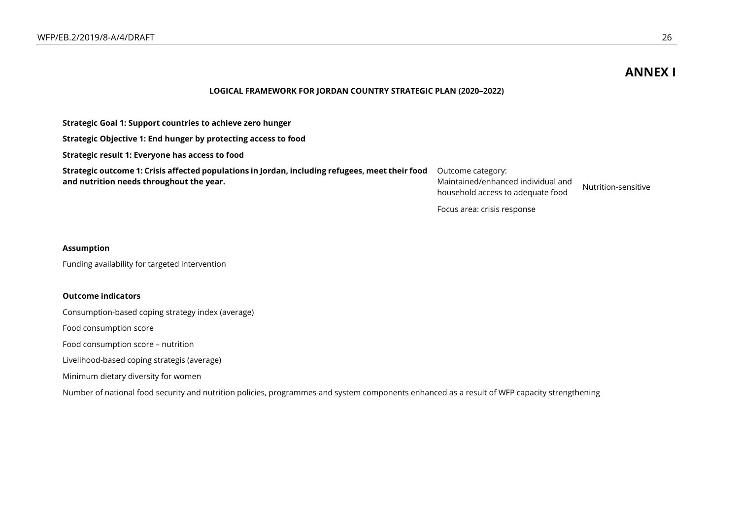## **ANNEX I**

#### **LOGICAL FRAMEWORK FOR JORDAN COUNTRY STRATEGIC PLAN (2020–2022)**

**Strategic Goal 1: Support countries to achieve zero hunger**

**Strategic Objective 1: End hunger by protecting access to food**

**Strategic result 1: Everyone has access to food**

**Strategic outcome 1: Crisis affected populations in Jordan, including refugees, meet their food and nutrition needs throughout the year.** 

Outcome category: Maintained/enhanced individual and Manual Register Randon and Mutrition-sensitive<br>household access to adequate food

Focus area: crisis response

#### **Assumption**

Funding availability for targeted intervention

#### **Outcome indicators**

Consumption-based coping strategy index (average)

Food consumption score

Food consumption score – nutrition

Livelihood-based coping strategis (average)

Minimum dietary diversity for women

Number of national food security and nutrition policies, programmes and system components enhanced as a result of WFP capacity strengthening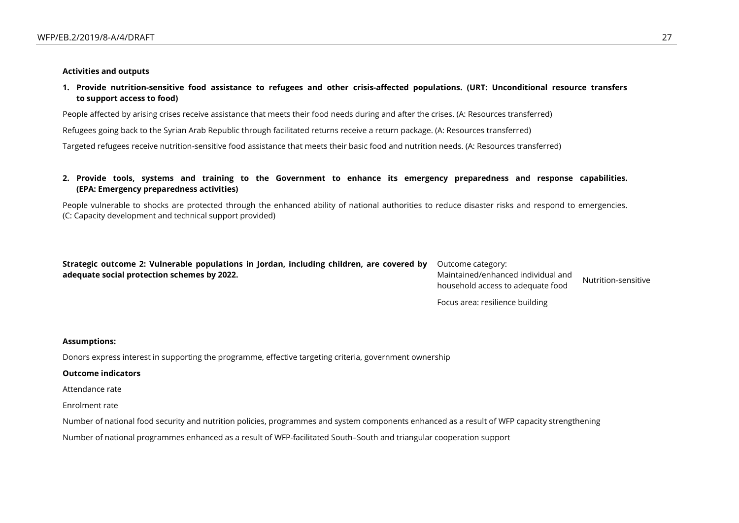#### **Activities and outputs**

**1. Provide nutrition-sensitive food assistance to refugees and other crisis-affected populations. (URT: Unconditional resource transfers to support access to food)**

People affected by arising crises receive assistance that meets their food needs during and after the crises. (A: Resources transferred)

Refugees going back to the Syrian Arab Republic through facilitated returns receive a return package. (A: Resources transferred)

Targeted refugees receive nutrition-sensitive food assistance that meets their basic food and nutrition needs. (A: Resources transferred)

**2. Provide tools, systems and training to the Government to enhance its emergency preparedness and response capabilities. (EPA: Emergency preparedness activities)**

People vulnerable to shocks are protected through the enhanced ability of national authorities to reduce disaster risks and respond to emergencies. (C: Capacity development and technical support provided)

| Strategic outcome 2: Vulnerable populations in Jordan, including children, are covered by Outcome category: |                                    |                     |
|-------------------------------------------------------------------------------------------------------------|------------------------------------|---------------------|
| adequate social protection schemes by 2022.                                                                 | Maintained/enhanced individual and | Nutrition-sensitive |
|                                                                                                             | household access to adequate food  |                     |

Focus area: resilience building

#### **Assumptions:**

Donors express interest in supporting the programme, effective targeting criteria, government ownership

#### **Outcome indicators**

Attendance rate

Enrolment rate

Number of national food security and nutrition policies, programmes and system components enhanced as a result of WFP capacity strengthening

Number of national programmes enhanced as a result of WFP-facilitated South–South and triangular cooperation support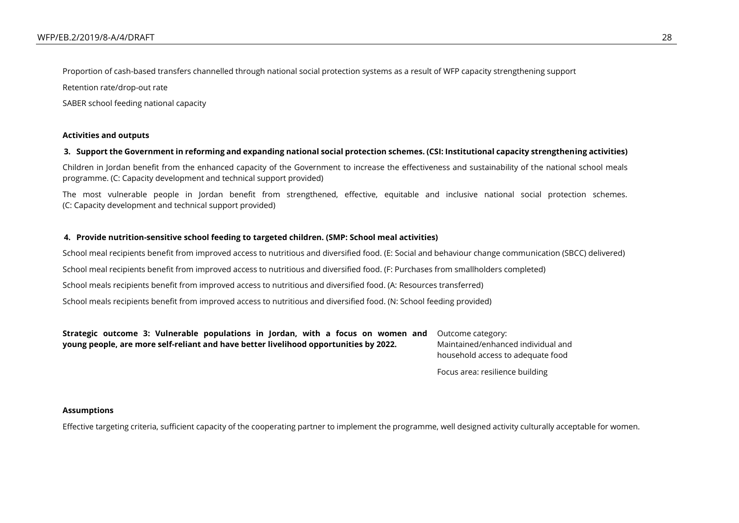Proportion of cash-based transfers channelled through national social protection systems as a result of WFP capacity strengthening support

Retention rate/drop-out rate

SABER school feeding national capacity

#### **Activities and outputs**

### **3. Support the Government in reforming and expanding national social protection schemes. (CSI: Institutional capacity strengthening activities)**

Children in Jordan benefit from the enhanced capacity of the Government to increase the effectiveness and sustainability of the national school meals programme. (C: Capacity development and technical support provided)

The most vulnerable people in Jordan benefit from strengthened, effective, equitable and inclusive national social protection schemes. (C: Capacity development and technical support provided)

### **4. Provide nutrition-sensitive school feeding to targeted children. (SMP: School meal activities)**

School meal recipients benefit from improved access to nutritious and diversified food. (E: Social and behaviour change communication (SBCC) delivered)

School meal recipients benefit from improved access to nutritious and diversified food. (F: Purchases from smallholders completed)

School meals recipients benefit from improved access to nutritious and diversified food. (A: Resources transferred)

School meals recipients benefit from improved access to nutritious and diversified food. (N: School feeding provided)

**Strategic outcome 3: Vulnerable populations in Jordan, with a focus on women and young people, are more self-reliant and have better livelihood opportunities by 2022.**

Outcome category: Maintained/enhanced individual and household access to adequate food

Focus area: resilience building

#### **Assumptions**

Effective targeting criteria, sufficient capacity of the cooperating partner to implement the programme, well designed activity culturally acceptable for women.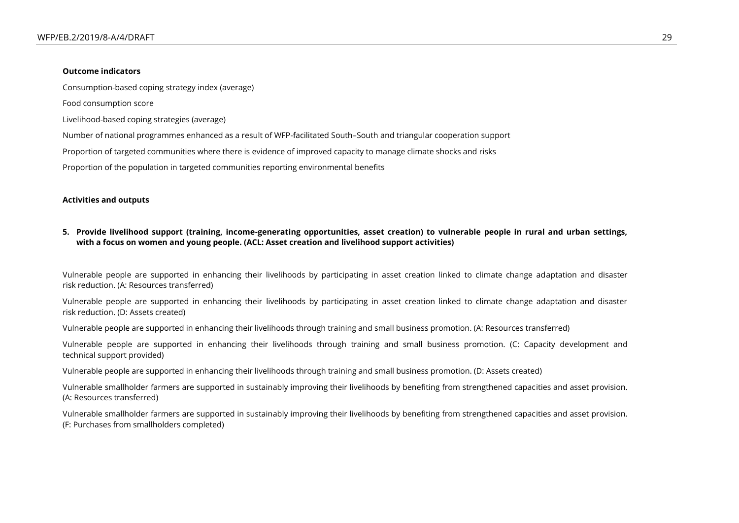#### **Outcome indicators**

Consumption-based coping strategy index (average)

Food consumption score

Livelihood-based coping strategies (average)

Number of national programmes enhanced as a result of WFP-facilitated South–South and triangular cooperation support

Proportion of targeted communities where there is evidence of improved capacity to manage climate shocks and risks

Proportion of the population in targeted communities reporting environmental benefits

#### **Activities and outputs**

### **5. Provide livelihood support (training, income-generating opportunities, asset creation) to vulnerable people in rural and urban settings, with a focus on women and young people. (ACL: Asset creation and livelihood support activities)**

Vulnerable people are supported in enhancing their livelihoods by participating in asset creation linked to climate change adaptation and disaster risk reduction. (A: Resources transferred)

Vulnerable people are supported in enhancing their livelihoods by participating in asset creation linked to climate change adaptation and disaster risk reduction. (D: Assets created)

Vulnerable people are supported in enhancing their livelihoods through training and small business promotion. (A: Resources transferred)

Vulnerable people are supported in enhancing their livelihoods through training and small business promotion. (C: Capacity development and technical support provided)

Vulnerable people are supported in enhancing their livelihoods through training and small business promotion. (D: Assets created)

Vulnerable smallholder farmers are supported in sustainably improving their livelihoods by benefiting from strengthened capacities and asset provision. (A: Resources transferred)

Vulnerable smallholder farmers are supported in sustainably improving their livelihoods by benefiting from strengthened capacities and asset provision. (F: Purchases from smallholders completed)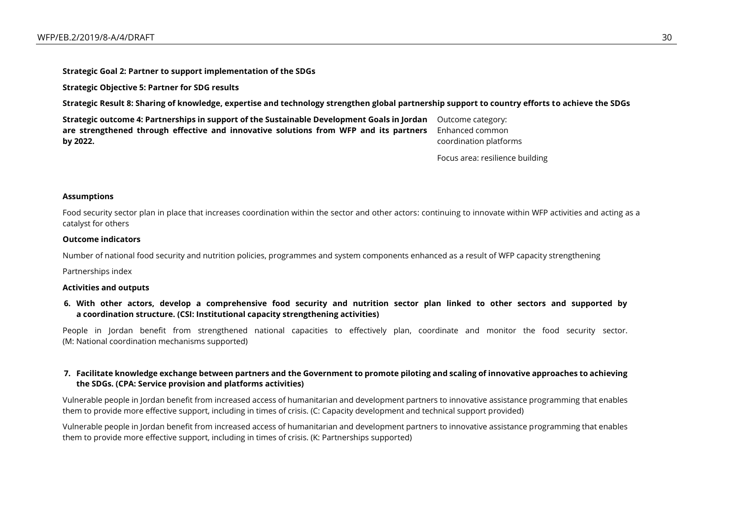**Strategic Goal 2: Partner to support implementation of the SDGs**

**Strategic Objective 5: Partner for SDG results**

**Strategic Result 8: Sharing of knowledge, expertise and technology strengthen global partnership support to country efforts to achieve the SDGs**

**Strategic outcome 4: Partnerships in support of the Sustainable Development Goals in Jordan**  Outcome category: **are strengthened through effective and innovative solutions from WFP and its partners by 2022.**

Enhanced common coordination platforms

Focus area: resilience building

#### **Assumptions**

Food security sector plan in place that increases coordination within the sector and other actors: continuing to innovate within WFP activities and acting as a catalyst for others

#### **Outcome indicators**

Number of national food security and nutrition policies, programmes and system components enhanced as a result of WFP capacity strengthening

Partnerships index

#### **Activities and outputs**

**6. With other actors, develop a comprehensive food security and nutrition sector plan linked to other sectors and supported by a coordination structure. (CSI: Institutional capacity strengthening activities)**

People in Jordan benefit from strengthened national capacities to effectively plan, coordinate and monitor the food security sector. (M: National coordination mechanisms supported)

### **7. Facilitate knowledge exchange between partners and the Government to promote piloting and scaling of innovative approaches to achieving the SDGs. (CPA: Service provision and platforms activities)**

Vulnerable people in Jordan benefit from increased access of humanitarian and development partners to innovative assistance programming that enables them to provide more effective support, including in times of crisis. (C: Capacity development and technical support provided)

Vulnerable people in Jordan benefit from increased access of humanitarian and development partners to innovative assistance programming that enables them to provide more effective support, including in times of crisis. (K: Partnerships supported)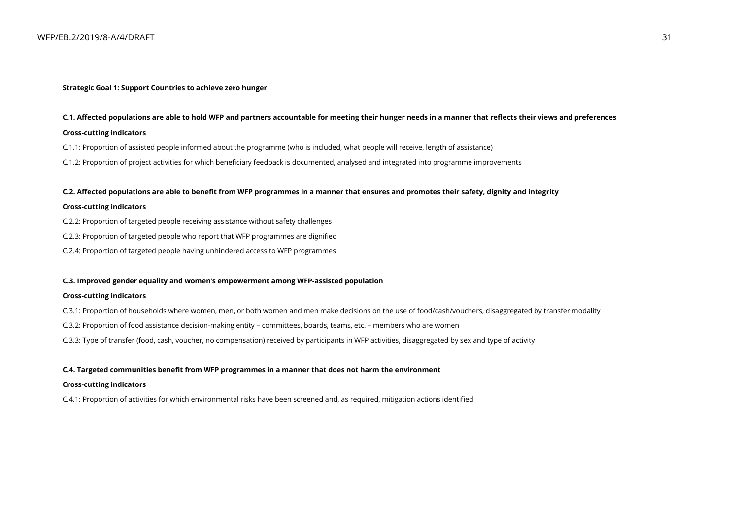#### **Strategic Goal 1: Support Countries to achieve zero hunger**

#### **C.1. Affected populations are able to hold WFP and partners accountable for meeting their hunger needs in a manner that reflects their views and preferences**

#### **Cross-cutting indicators**

- C.1.1: Proportion of assisted people informed about the programme (who is included, what people will receive, length of assistance)
- C.1.2: Proportion of project activities for which beneficiary feedback is documented, analysed and integrated into programme improvements

#### **C.2. Affected populations are able to benefit from WFP programmes in a manner that ensures and promotes their safety, dignity and integrity**

#### **Cross-cutting indicators**

- C.2.2: Proportion of targeted people receiving assistance without safety challenges
- C.2.3: Proportion of targeted people who report that WFP programmes are dignified
- C.2.4: Proportion of targeted people having unhindered access to WFP programmes

#### **C.3. Improved gender equality and women's empowerment among WFP-assisted population**

#### **Cross-cutting indicators**

- C.3.1: Proportion of households where women, men, or both women and men make decisions on the use of food/cash/vouchers, disaggregated by transfer modality
- C.3.2: Proportion of food assistance decision-making entity committees, boards, teams, etc. members who are women
- C.3.3: Type of transfer (food, cash, voucher, no compensation) received by participants in WFP activities, disaggregated by sex and type of activity

#### **C.4. Targeted communities benefit from WFP programmes in a manner that does not harm the environment**

#### **Cross-cutting indicators**

C.4.1: Proportion of activities for which environmental risks have been screened and, as required, mitigation actions identified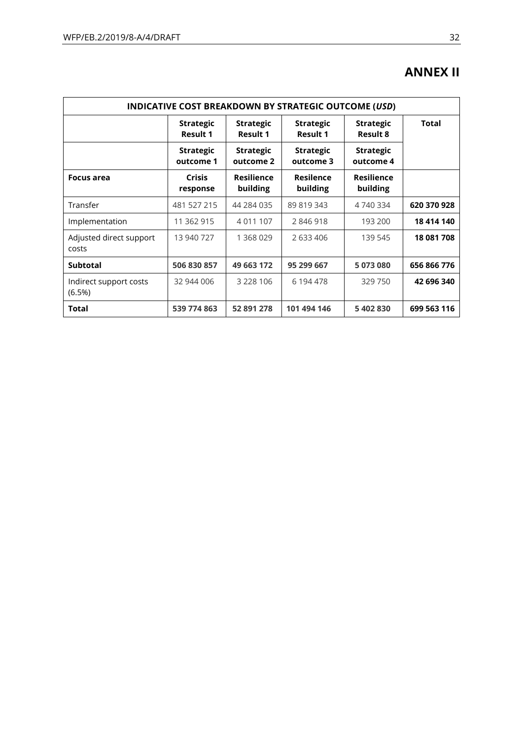# **ANNEX II**

| INDICATIVE COST BREAKDOWN BY STRATEGIC OUTCOME (USD) |                                     |                                     |                                     |                                     |              |  |
|------------------------------------------------------|-------------------------------------|-------------------------------------|-------------------------------------|-------------------------------------|--------------|--|
|                                                      | <b>Strategic</b><br><b>Result 1</b> | <b>Strategic</b><br><b>Result 1</b> | <b>Strategic</b><br><b>Result 1</b> | <b>Strategic</b><br><b>Result 8</b> | <b>Total</b> |  |
|                                                      | <b>Strategic</b><br>outcome 1       | <b>Strategic</b><br>outcome 2       | <b>Strategic</b><br>outcome 3       | <b>Strategic</b><br>outcome 4       |              |  |
| Focus area                                           | <b>Crisis</b><br>response           | <b>Resilience</b><br>building       | <b>Resilence</b><br>building        | <b>Resilience</b><br>building       |              |  |
| Transfer                                             | 481 527 215                         | 44 284 035                          | 89 819 343                          | 4 740 334                           | 620 370 928  |  |
| Implementation                                       | 11 362 915                          | 4 0 1 1 1 0 7                       | 2846918                             | 193 200                             | 18 414 140   |  |
| Adjusted direct support<br>costs                     | 13 940 727                          | 1 368 029                           | 2 633 406                           | 139 545                             | 18 081 708   |  |
| <b>Subtotal</b>                                      | 506 830 857                         | 49 663 172                          | 95 299 667                          | 5 073 080                           | 656 866 776  |  |
| Indirect support costs<br>(6.5%)                     | 32 944 006                          | 3 2 2 8 1 0 6                       | 6 194 478                           | 329 750                             | 42 696 340   |  |
| Total                                                | 539 774 863                         | 52 891 278                          | 101 494 146                         | 5 402 830                           | 699 563 116  |  |